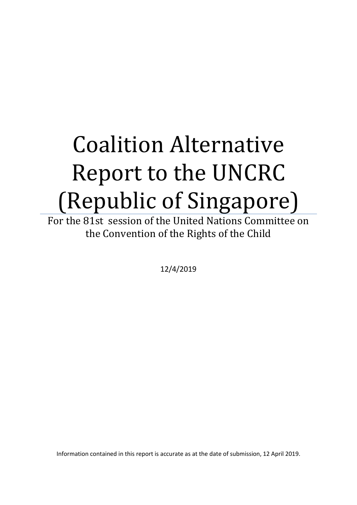# Coalition Alternative Report to the UNCRC (Republic of Singapore)

For the 81st session of the United Nations Committee on the Convention of the Rights of the Child

12/4/2019

Information contained in this report is accurate as at the date of submission, 12 April 2019.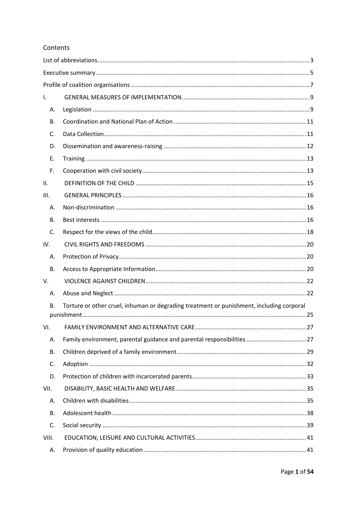## Contents

| Τ.        |                                                                                          |
|-----------|------------------------------------------------------------------------------------------|
| Α.        |                                                                                          |
| В.        |                                                                                          |
| C.        |                                                                                          |
| D.        |                                                                                          |
| Ε.        |                                                                                          |
| F.        |                                                                                          |
| ΙΙ.       |                                                                                          |
| III.      |                                                                                          |
| А.        |                                                                                          |
| В.        |                                                                                          |
| C.        |                                                                                          |
| IV.       |                                                                                          |
| А.        |                                                                                          |
| <b>B.</b> |                                                                                          |
| V.        |                                                                                          |
| А.        |                                                                                          |
| <b>B.</b> | Torture or other cruel, inhuman or degrading treatment or punishment, including corporal |
| VI.       |                                                                                          |
| Α.        | Family environment, parental guidance and parental responsibilities  27                  |
| <b>B.</b> |                                                                                          |
| C.        |                                                                                          |
| D.        |                                                                                          |
| VII.      |                                                                                          |
| Α.        |                                                                                          |
| <b>B.</b> |                                                                                          |
| C.        |                                                                                          |
| VIII.     |                                                                                          |
| А.        |                                                                                          |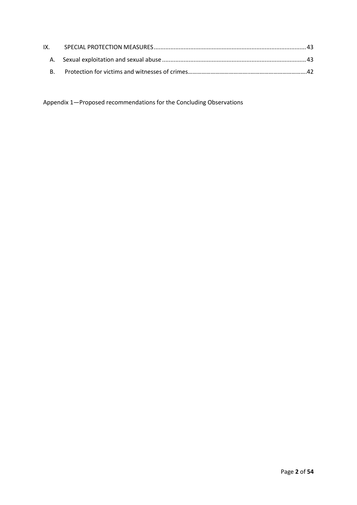Appendix 1—Proposed recommendations for the Concluding Observations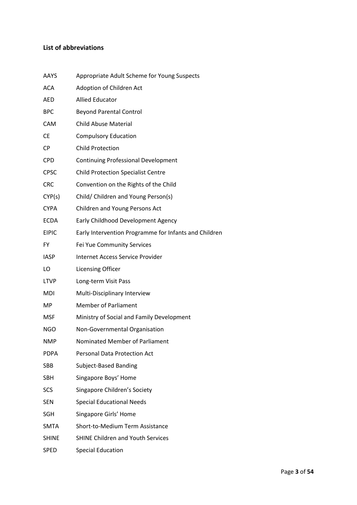## <span id="page-3-0"></span>**List of abbreviations**

| <b>AAYS</b>  | Appropriate Adult Scheme for Young Suspects           |
|--------------|-------------------------------------------------------|
| <b>ACA</b>   | Adoption of Children Act                              |
| <b>AED</b>   | <b>Allied Educator</b>                                |
| <b>BPC</b>   | <b>Beyond Parental Control</b>                        |
| CAM          | <b>Child Abuse Material</b>                           |
| <b>CE</b>    | <b>Compulsory Education</b>                           |
| <b>CP</b>    | <b>Child Protection</b>                               |
| <b>CPD</b>   | <b>Continuing Professional Development</b>            |
| <b>CPSC</b>  | <b>Child Protection Specialist Centre</b>             |
| <b>CRC</b>   | Convention on the Rights of the Child                 |
| CYP(s)       | Child/ Children and Young Person(s)                   |
| <b>CYPA</b>  | Children and Young Persons Act                        |
| <b>ECDA</b>  | Early Childhood Development Agency                    |
| <b>EIPIC</b> | Early Intervention Programme for Infants and Children |
| <b>FY</b>    | Fei Yue Community Services                            |
| <b>IASP</b>  | Internet Access Service Provider                      |
| LO           | <b>Licensing Officer</b>                              |
| <b>LTVP</b>  | Long-term Visit Pass                                  |
| <b>MDI</b>   | Multi-Disciplinary Interview                          |
| MP.          | <b>Member of Parliament</b>                           |
| <b>MSF</b>   | Ministry of Social and Family Development             |
| <b>NGO</b>   | Non-Governmental Organisation                         |
| <b>NMP</b>   | Nominated Member of Parliament                        |
| <b>PDPA</b>  | <b>Personal Data Protection Act</b>                   |
| SBB          | <b>Subject-Based Banding</b>                          |
| <b>SBH</b>   | Singapore Boys' Home                                  |
| <b>SCS</b>   | Singapore Children's Society                          |
| <b>SEN</b>   | <b>Special Educational Needs</b>                      |
| <b>SGH</b>   | Singapore Girls' Home                                 |
| <b>SMTA</b>  | Short-to-Medium Term Assistance                       |
| <b>SHINE</b> | <b>SHINE Children and Youth Services</b>              |
| <b>SPED</b>  | <b>Special Education</b>                              |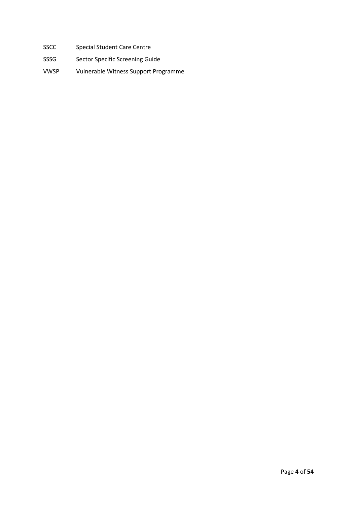- SSCC Special Student Care Centre
- SSSG Sector Specific Screening Guide
- VWSP Vulnerable Witness Support Programme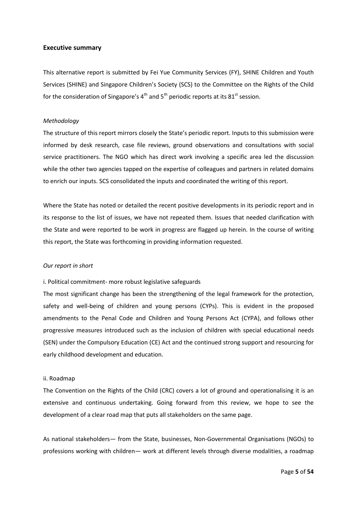#### <span id="page-5-0"></span>**Executive summary**

This alternative report is submitted by Fei Yue Community Services (FY), SHINE Children and Youth Services (SHINE) and Singapore Children's Society (SCS) to the Committee on the Rights of the Child for the consideration of Singapore's  $4<sup>th</sup>$  and  $5<sup>th</sup>$  periodic reports at its  $81<sup>st</sup>$  session.

#### *Methodology*

The structure of this report mirrors closely the State's periodic report. Inputs to this submission were informed by desk research, case file reviews, ground observations and consultations with social service practitioners. The NGO which has direct work involving a specific area led the discussion while the other two agencies tapped on the expertise of colleagues and partners in related domains to enrich our inputs. SCS consolidated the inputs and coordinated the writing of this report.

Where the State has noted or detailed the recent positive developments in its periodic report and in its response to the list of issues, we have not repeated them. Issues that needed clarification with the State and were reported to be work in progress are flagged up herein. In the course of writing this report, the State was forthcoming in providing information requested.

#### *Our report in short*

i. Political commitment- more robust legislative safeguards

The most significant change has been the strengthening of the legal framework for the protection, safety and well-being of children and young persons (CYPs). This is evident in the proposed amendments to the Penal Code and Children and Young Persons Act (CYPA), and follows other progressive measures introduced such as the inclusion of children with special educational needs (SEN) under the Compulsory Education (CE) Act and the continued strong support and resourcing for early childhood development and education.

#### ii. Roadmap

The Convention on the Rights of the Child (CRC) covers a lot of ground and operationalising it is an extensive and continuous undertaking. Going forward from this review, we hope to see the development of a clear road map that puts all stakeholders on the same page.

As national stakeholders— from the State, businesses, Non-Governmental Organisations (NGOs) to professions working with children— work at different levels through diverse modalities, a roadmap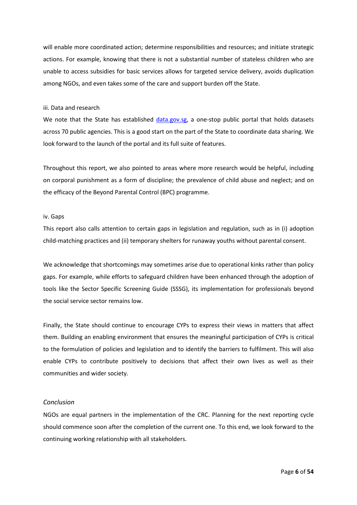will enable more coordinated action; determine responsibilities and resources; and initiate strategic actions. For example, knowing that there is not a substantial number of stateless children who are unable to access subsidies for basic services allows for targeted service delivery, avoids duplication among NGOs, and even takes some of the care and support burden off the State.

#### iii. Data and research

We note that the State has established [data.gov.sg,](https://data.gov.sg/) a one-stop public portal that holds datasets across 70 public agencies. This is a good start on the part of the State to coordinate data sharing. We look forward to the launch of the portal and its full suite of features.

Throughout this report, we also pointed to areas where more research would be helpful, including on corporal punishment as a form of discipline; the prevalence of child abuse and neglect; and on the efficacy of the Beyond Parental Control (BPC) programme.

#### iv. Gaps

This report also calls attention to certain gaps in legislation and regulation, such as in (i) adoption child-matching practices and (ii) temporary shelters for runaway youths without parental consent.

We acknowledge that shortcomings may sometimes arise due to operational kinks rather than policy gaps. For example, while efforts to safeguard children have been enhanced through the adoption of tools like the Sector Specific Screening Guide (SSSG), its implementation for professionals beyond the social service sector remains low.

Finally, the State should continue to encourage CYPs to express their views in matters that affect them. Building an enabling environment that ensures the meaningful participation of CYPs is critical to the formulation of policies and legislation and to identify the barriers to fulfilment. This will also enable CYPs to contribute positively to decisions that affect their own lives as well as their communities and wider society.

#### *Conclusion*

NGOs are equal partners in the implementation of the CRC. Planning for the next reporting cycle should commence soon after the completion of the current one. To this end, we look forward to the continuing working relationship with all stakeholders.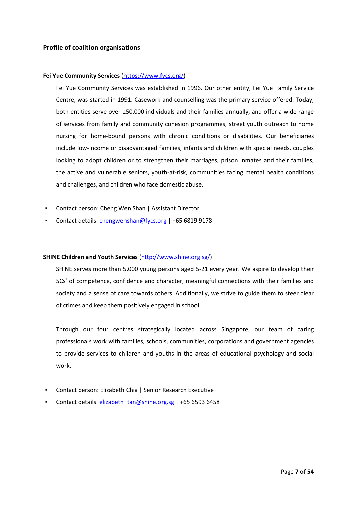## <span id="page-7-0"></span>**Profile of coalition organisations**

## **Fei Yue Community Services** [\(https://www.fycs.org/\)](https://www.fycs.org/)

Fei Yue Community Services was established in 1996. Our other entity, Fei Yue Family Service Centre, was started in 1991. Casework and counselling was the primary service offered. Today, both entities serve over 150,000 individuals and their families annually, and offer a wide range of services from family and community cohesion programmes, street youth outreach to home nursing for home-bound persons with chronic conditions or disabilities. Our beneficiaries include low-income or disadvantaged families, infants and children with special needs, couples looking to adopt children or to strengthen their marriages, prison inmates and their families, the active and vulnerable seniors, youth-at-risk, communities facing mental health conditions and challenges, and children who face domestic abuse.

- Contact person: Cheng Wen Shan | Assistant Director
- Contact details[: chengwenshan@fycs.org](mailto:chengwenshan@fycs.org) | +65 6819 9178

#### **SHINE Children and Youth Services** [\(http://www.shine.org.sg/\)](http://www.shine.org.sg/)

SHINE serves more than 5,000 young persons aged 5-21 every year. We aspire to develop their 5Cs' of competence, confidence and character; meaningful connections with their families and society and a sense of care towards others. Additionally, we strive to guide them to steer clear of crimes and keep them positively engaged in school.

Through our four centres strategically located across Singapore, our team of caring professionals work with families, schools, communities, corporations and government agencies to provide services to children and youths in the areas of educational psychology and social work.

- Contact person: Elizabeth Chia | Senior Research Executive
- Contact details[: elizabeth\\_tan@shine.org.sg](mailto:elizabeth_tan@shine.org.sg) | +65 6593 6458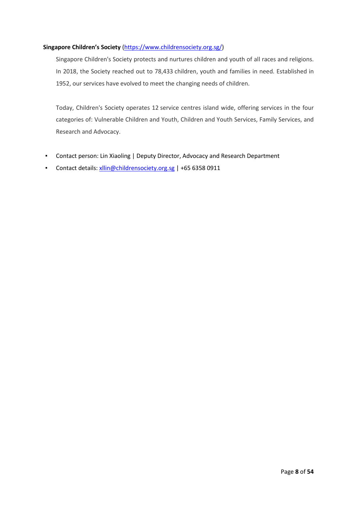## **Singapore Children's Society** [\(https://www.childrensociety.org.sg/\)](https://www.childrensociety.org.sg/)

Singapore Children's Society protects and nurtures children and youth of all races and religions. In 2018, the Society reached out to 78,433 children, youth and families in need. Established in 1952, our services have evolved to meet the changing needs of children.

Today, Children's Society operates 12 service centres island wide, offering services in the four categories of: Vulnerable Children and Youth, Children and Youth Services, Family Services, and Research and Advocacy.

- Contact person: Lin Xiaoling | Deputy Director, Advocacy and Research Department
- Contact details[: xllin@childrensociety.org.sg](mailto:xllin@childrensociety.org.sg) | +65 6358 0911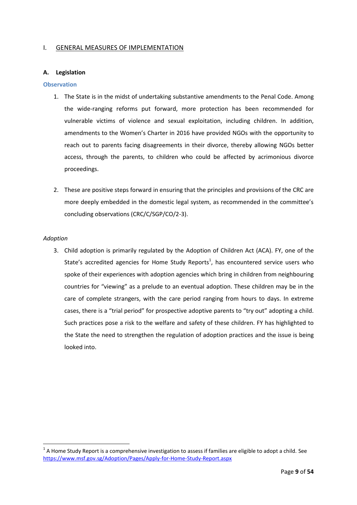## <span id="page-9-0"></span>I. GENERAL MEASURES OF IMPLEMENTATION

#### <span id="page-9-1"></span>**A. Legislation**

#### **Observation**

- 1. The State is in the midst of undertaking substantive amendments to the Penal Code. Among the wide-ranging reforms put forward, more protection has been recommended for vulnerable victims of violence and sexual exploitation, including children. In addition, amendments to the Women's Charter in 2016 have provided NGOs with the opportunity to reach out to parents facing disagreements in their divorce, thereby allowing NGOs better access, through the parents, to children who could be affected by acrimonious divorce proceedings.
- 2. These are positive steps forward in ensuring that the principles and provisions of the CRC are more deeply embedded in the domestic legal system, as recommended in the committee's concluding observations (CRC/C/SGP/CO/2-3).

#### *Adoption*

1

3. Child adoption is primarily regulated by the Adoption of Children Act (ACA). FY, one of the State's accredited agencies for Home Study Reports<sup>1</sup>, has encountered service users who spoke of their experiences with adoption agencies which bring in children from neighbouring countries for "viewing" as a prelude to an eventual adoption. These children may be in the care of complete strangers, with the care period ranging from hours to days. In extreme cases, there is a "trial period" for prospective adoptive parents to "try out" adopting a child. Such practices pose a risk to the welfare and safety of these children. FY has highlighted to the State the need to strengthen the regulation of adoption practices and the issue is being looked into.

 $1$  A Home Study Report is a comprehensive investigation to assess if families are eligible to adopt a child. See <https://www.msf.gov.sg/Adoption/Pages/Apply-for-Home-Study-Report.aspx>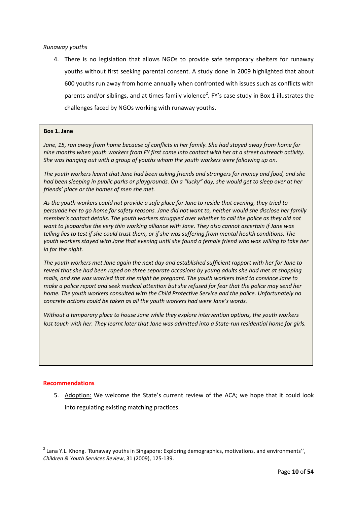## *Runaway youths*

4. There is no legislation that allows NGOs to provide safe temporary shelters for runaway youths without first seeking parental consent. A study done in 2009 highlighted that about 600 youths run away from home annually when confronted with issues such as conflicts with parents and/or siblings, and at times family violence<sup>2</sup>. FY's case study in Box 1 illustrates the challenges faced by NGOs working with runaway youths.

#### **Box 1. Jane**

*Jane, 15, ran away from home because of conflicts in her family. She had stayed away from home for nine months when youth workers from FY first came into contact with her at a street outreach activity. She was hanging out with a group of youths whom the youth workers were following up on.*

*The youth workers learnt that Jane had been asking friends and strangers for money and food, and she had been sleeping in public parks or playgrounds. On a "lucky" day, she would get to sleep over at her friends' place or the homes of men she met.*

*As the youth workers could not provide a safe place for Jane to reside that evening, they tried to persuade her to go home for safety reasons. Jane did not want to, neither would she disclose her family member's contact details. The youth workers struggled over whether to call the police as they did not want to jeopardise the very thin working alliance with Jane. They also cannot ascertain if Jane was telling lies to test if she could trust them, or if she was suffering from mental health conditions. The youth workers stayed with Jane that evening until she found a female friend who was willing to take her in for the night.*

*The youth workers met Jane again the next day and established sufficient rapport with her for Jane to reveal that she had been raped on three separate occasions by young adults she had met at shopping malls, and she was worried that she might be pregnant. The youth workers tried to convince Jane to make a police report and seek medical attention but she refused for fear that the police may send her home. The youth workers consulted with the Child Protective Service and the police. Unfortunately no concrete actions could be taken as all the youth workers had were Jane's words.*

*Without a temporary place to house Jane while they explore intervention options, the youth workers lost touch with her. They learnt later that Jane was admitted into a State-run residential home for girls.*

## **Recommendations**

1

5. Adoption: We welcome the State's current review of the ACA; we hope that it could look into regulating existing matching practices.

<sup>&</sup>lt;sup>2</sup> Lana Y.L. Khong. 'Runaway youths in Singapore: Exploring demographics, motivations, and environments'', *Children & Youth Services Review*, 31 (2009), 125-139.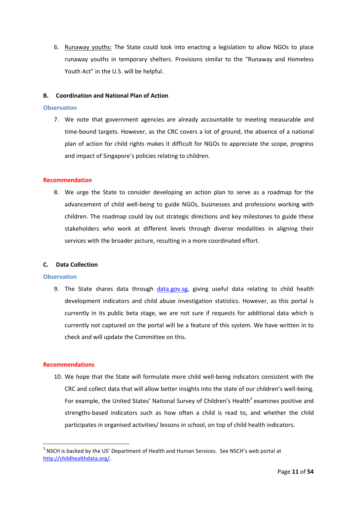6. Runaway youths: The State could look into enacting a legislation to allow NGOs to place runaway youths in temporary shelters. Provisions similar to the "Runaway and Homeless Youth Act" in the U.S. will be helpful.

## <span id="page-11-0"></span>**B. Coordination and National Plan of Action**

#### **Observation**

7. We note that government agencies are already accountable to meeting measurable and time-bound targets. However, as the CRC covers a lot of ground, the absence of a national plan of action for child rights makes it difficult for NGOs to appreciate the scope, progress and impact of Singapore's policies relating to children.

#### **Recommendation**

8. We urge the State to consider developing an action plan to serve as a roadmap for the advancement of child well-being to guide NGOs, businesses and professions working with children. The roadmap could lay out strategic directions and key milestones to guide these stakeholders who work at different levels through diverse modalities in aligning their services with the broader picture, resulting in a more coordinated effort.

#### <span id="page-11-1"></span>**C. Data Collection**

#### **Observation**

9. The State shares data through [data.gov.sg,](file://10.20.40.2/PublicEdu/Advocacy/Current%20Issues/UNCRC_4%20&%205%20Periodic%20Report/data.gov.sg) giving useful data relating to child health development indicators and child abuse investigation statistics. However, as this portal is currently in its public beta stage, we are not sure if requests for additional data which is currently not captured on the portal will be a feature of this system. We have written in to check and will update the Committee on this.

## **Recommendations**

1

10. We hope that the State will formulate more child well-being indicators consistent with the CRC and collect data that will allow better insights into the state of our children's well-being. For example, the United States' National Survey of Children's Health<sup>3</sup> examines positive and strengths-based indicators such as how often a child is read to, and whether the child participates in organised activities/ lessons in school, on top of child health indicators.

 $3$  NSCH is backed by the US' Department of Health and Human Services. See NSCH's web portal at [http://childhealthdata.org/.](http://childhealthdata.org/)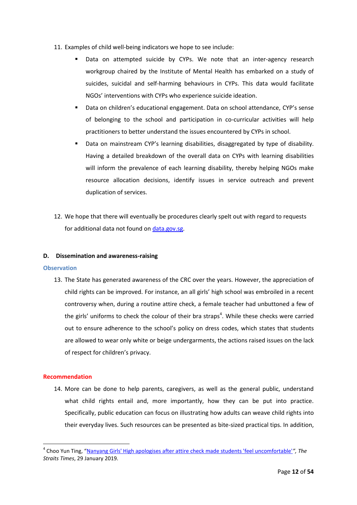- 11. Examples of child well-being indicators we hope to see include:
	- Data on attempted suicide by CYPs. We note that an inter-agency research workgroup chaired by the Institute of Mental Health has embarked on a study of suicides, suicidal and self-harming behaviours in CYPs. This data would facilitate NGOs' interventions with CYPs who experience suicide ideation.
	- Data on children's educational engagement. Data on school attendance, CYP's sense of belonging to the school and participation in co-curricular activities will help practitioners to better understand the issues encountered by CYPs in school.
	- Data on mainstream CYP's learning disabilities, disaggregated by type of disability. Having a detailed breakdown of the overall data on CYPs with learning disabilities will inform the prevalence of each learning disability, thereby helping NGOs make resource allocation decisions, identify issues in service outreach and prevent duplication of services.
- 12. We hope that there will eventually be procedures clearly spelt out with regard to requests for additional data not found on [data.gov.sg.](https://data.gov.sg/)

## <span id="page-12-0"></span>**D. Dissemination and awareness-raising**

#### **Observation**

13. The State has generated awareness of the CRC over the years. However, the appreciation of child rights can be improved. For instance, an all girls' high school was embroiled in a recent controversy when, during a routine attire check, a female teacher had unbuttoned a few of the girls' uniforms to check the colour of their bra straps<sup>4</sup>. While these checks were carried out to ensure adherence to the school's policy on dress codes, which states that students are allowed to wear only white or beige undergarments, the actions raised issues on the lack of respect for children's privacy.

#### **Recommendation**

1

14. More can be done to help parents, caregivers, as well as the general public, understand what child rights entail and, more importantly, how they can be put into practice. Specifically, public education can focus on illustrating how adults can weave child rights into their everyday lives. Such resources can be presented as bite-sized practical tips. In addition,

<sup>4</sup> Choo Yun Ting, "[Nanyang Girls' High apologises after attire check made students 'feel uncomfortable'](https://www.straitstimes.com/singapore/education/nanyang-girls-apologises-after-attire-check-made-students-feel-uncomfortable)*", The Straits Times*, 29 January 2019.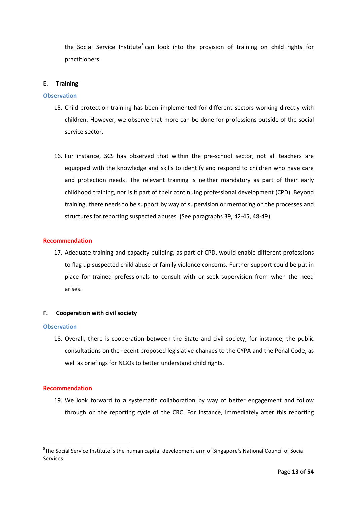the Social Service Institute<sup>5</sup> can look into the provision of training on child rights for practitioners.

#### <span id="page-13-0"></span>**E. Training**

#### **Observation**

- 15. Child protection training has been implemented for different sectors working directly with children. However, we observe that more can be done for professions outside of the social service sector.
- 16. For instance, SCS has observed that within the pre-school sector, not all teachers are equipped with the knowledge and skills to identify and respond to children who have care and protection needs. The relevant training is neither mandatory as part of their early childhood training, nor is it part of their continuing professional development (CPD). Beyond training, there needs to be support by way of supervision or mentoring on the processes and structures for reporting suspected abuses. (See paragraphs 39, 42-45, 48-49)

#### **Recommendation**

17. Adequate training and capacity building, as part of CPD, would enable different professions to flag up suspected child abuse or family violence concerns. Further support could be put in place for trained professionals to consult with or seek supervision from when the need arises.

#### <span id="page-13-1"></span>**F. Cooperation with civil society**

#### **Observation**

18. Overall, there is cooperation between the State and civil society, for instance, the public consultations on the recent proposed legislative changes to the CYPA and the Penal Code, as well as briefings for NGOs to better understand child rights.

#### **Recommendation**

1

19. We look forward to a systematic collaboration by way of better engagement and follow through on the reporting cycle of the CRC. For instance, immediately after this reporting

<sup>&</sup>lt;sup>5</sup>The Social Service Institute is the human capital development arm of Singapore's National Council of Social Services.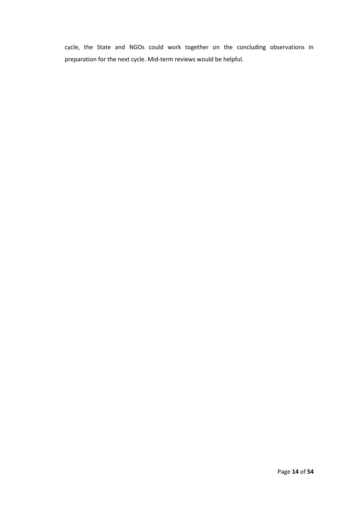cycle, the State and NGOs could work together on the concluding observations in preparation for the next cycle. Mid-term reviews would be helpful.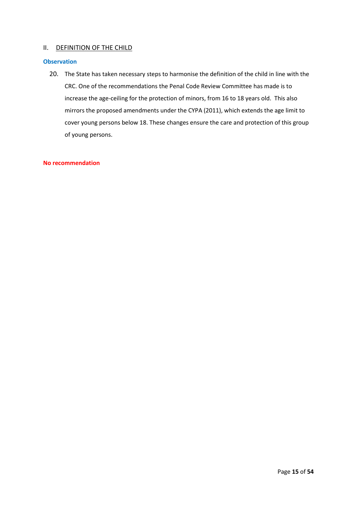## <span id="page-15-0"></span>II. DEFINITION OF THE CHILD

## **Observation**

20. The State has taken necessary steps to harmonise the definition of the child in line with the CRC. One of the recommendations the Penal Code Review Committee has made is to increase the age-ceiling for the protection of minors, from 16 to 18 years old. This also mirrors the proposed amendments under the CYPA (2011), which extends the age limit to cover young persons below 18. These changes ensure the care and protection of this group of young persons.

## **No recommendation**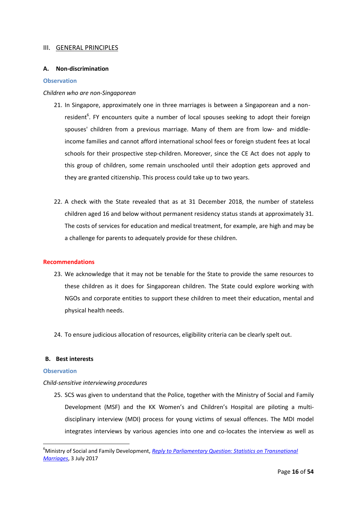## <span id="page-16-0"></span>III. GENERAL PRINCIPLES

#### <span id="page-16-1"></span>**A. Non-discrimination**

#### **Observation**

#### *Children who are non-Singaporean*

- 21. In Singapore, approximately one in three marriages is between a Singaporean and a nonresident<sup>6</sup>. FY encounters quite a number of local spouses seeking to adopt their foreign spouses' children from a previous marriage. Many of them are from low- and middleincome families and cannot afford international school fees or foreign student fees at local schools for their prospective step-children. Moreover, since the CE Act does not apply to this group of children, some remain unschooled until their adoption gets approved and they are granted citizenship. This process could take up to two years.
- 22. A check with the State revealed that as at 31 December 2018, the number of stateless children aged 16 and below without permanent residency status stands at approximately 31*.*  The costs of services for education and medical treatment, for example, are high and may be a challenge for parents to adequately provide for these children.

#### **Recommendations**

- 23. We acknowledge that it may not be tenable for the State to provide the same resources to these children as it does for Singaporean children. The State could explore working with NGOs and corporate entities to support these children to meet their education, mental and physical health needs.
- 24. To ensure judicious allocation of resources, eligibility criteria can be clearly spelt out.

## <span id="page-16-2"></span>**B. Best interests**

#### **Observation**

1

#### *Child-sensitive interviewing procedures*

25. SCS was given to understand that the Police, together with the Ministry of Social and Family Development (MSF) and the KK Women's and Children's Hospital are piloting a multidisciplinary interview (MDI) process for young victims of sexual offences. The MDI model integrates interviews by various agencies into one and co-locates the interview as well as

<sup>&</sup>lt;sup>6</sup>Ministry of Social and Family Development, *Reply to Parliamentary Question: Statistics on Transnational [Marriages](https://www.msf.gov.sg/media-room/Pages/Statistics-on-transnational-marriages.aspx)*, 3 July 2017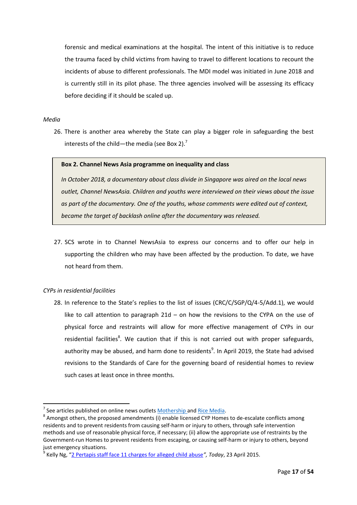forensic and medical examinations at the hospital. The intent of this initiative is to reduce the trauma faced by child victims from having to travel to different locations to recount the incidents of abuse to different professionals. The MDI model was initiated in June 2018 and is currently still in its pilot phase. The three agencies involved will be assessing its efficacy before deciding if it should be scaled up.

#### *Media*

26. There is another area whereby the State can play a bigger role in safeguarding the best interests of the child—the media (see Box 2).<sup>7</sup>

#### **Box 2. Channel News Asia programme on inequality and class**

*In October 2018, a documentary about class divide in Singapore was aired on the local news outlet, Channel NewsAsia. Children and youths were interviewed on their views about the issue as part of the documentary. One of the youths, whose comments were edited out of context, became the target of backlash online after the documentary was released.*

27. SCS wrote in to Channel NewsAsia to express our concerns and to offer our help in supporting the children who may have been affected by the production. To date, we have not heard from them.

## *CYPs in residential facilities*

1

28. In reference to the State's replies to the list of issues (CRC/C/SGP/Q/4-5/Add.1), we would like to call attention to paragraph  $21d -$  on how the revisions to the CYPA on the use of physical force and restraints will allow for more effective management of CYPs in our residential facilities<sup>8</sup>. We caution that if this is not carried out with proper safeguards, authority may be abused, and harm done to residents<sup>9</sup>. In April 2019, the State had advised revisions to the Standards of Care for the governing board of residential homes to review such cases at least once in three months.

<sup>7</sup> See articles published on online news outlet[s Mothership a](https://mothership.sg/2018/10/singaporeans-empathise-normal-tech-student/)nd [Rice Media.](http://ricemedia.co/current-affairs-features-cna-regardless-of-class-too-perfect-dug-deeper/)

 $^8$  Amongst others, the proposed amendments (i) enable licensed CYP Homes to de-escalate conflicts among residents and to prevent residents from causing self-harm or injury to others, through safe intervention methods and use of reasonable physical force, if necessary; (ii) allow the appropriate use of restraints by the Government-run Homes to prevent residents from escaping, or causing self-harm or injury to others, beyond just emergency situations.

<sup>9</sup> Kelly Ng, "[2 Pertapis staff face 11 charges for alleged child abuse](https://www.todayonline.com/singapore/pertapis-childrens-home-staff-charged-child-abuse)*", Today*, 23 April 2015.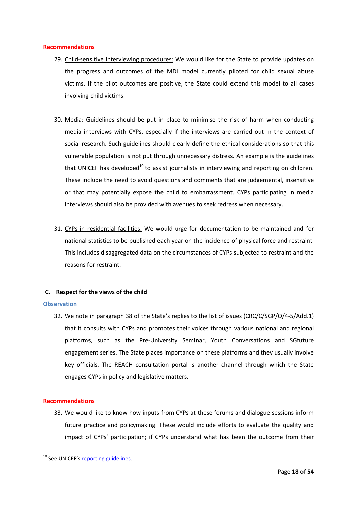#### **Recommendations**

- 29. Child-sensitive interviewing procedures: We would like for the State to provide updates on the progress and outcomes of the MDI model currently piloted for child sexual abuse victims. If the pilot outcomes are positive, the State could extend this model to all cases involving child victims.
- 30. Media: Guidelines should be put in place to minimise the risk of harm when conducting media interviews with CYPs, especially if the interviews are carried out in the context of social research. Such guidelines should clearly define the ethical considerations so that this vulnerable population is not put through unnecessary distress. An example is the guidelines that UNICEF has developed<sup>10</sup> to assist journalists in interviewing and reporting on children. These include the need to avoid questions and comments that are judgemental, insensitive or that may potentially expose the child to embarrassment. CYPs participating in media interviews should also be provided with avenues to seek redress when necessary.
- 31. CYPs in residential facilities: We would urge for documentation to be maintained and for national statistics to be published each year on the incidence of physical force and restraint. This includes disaggregated data on the circumstances of CYPs subjected to restraint and the reasons for restraint.

## <span id="page-18-0"></span>**C. Respect for the views of the child**

#### **Observation**

32. We note in paragraph 38 of the State's replies to the list of issues (CRC/C/SGP/Q/4-5/Add.1) that it consults with CYPs and promotes their voices through various national and regional platforms, such as the Pre-University Seminar, Youth Conversations and SGfuture engagement series. The State places importance on these platforms and they usually involve key officials. The REACH consultation portal is another channel through which the State engages CYPs in policy and legislative matters.

## **Recommendations**

**.** 

33. We would like to know how inputs from CYPs at these forums and dialogue sessions inform future practice and policymaking. These would include efforts to evaluate the quality and impact of CYPs' participation; if CYPs understand what has been the outcome from their

<sup>&</sup>lt;sup>10</sup> See UNICEF's [reporting guidelines.](https://www.unicef.org/media/media_tools_guidelines.html)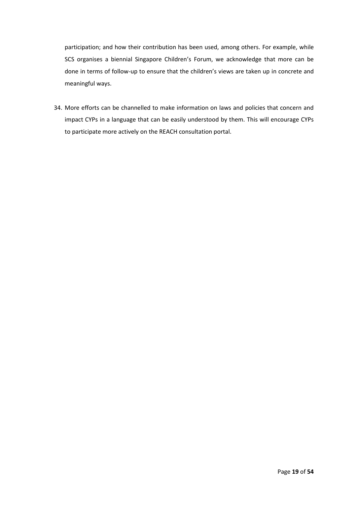participation; and how their contribution has been used, among others. For example, while SCS organises a biennial Singapore Children's Forum, we acknowledge that more can be done in terms of follow-up to ensure that the children's views are taken up in concrete and meaningful ways.

34. More efforts can be channelled to make information on laws and policies that concern and impact CYPs in a language that can be easily understood by them. This will encourage CYPs to participate more actively on the REACH consultation portal.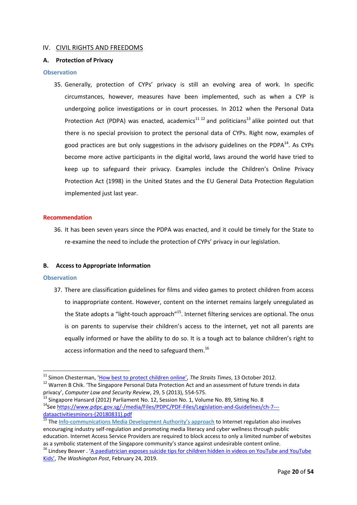## <span id="page-20-0"></span>IV. CIVIL RIGHTS AND FREEDOMS

## <span id="page-20-1"></span>**A. Protection of Privacy**

#### **Observation**

35. Generally, protection of CYPs' privacy is still an evolving area of work. In specific circumstances, however, measures have been implemented, such as when a CYP is undergoing police investigations or in court processes. In 2012 when the Personal Data Protection Act (PDPA) was enacted, academics<sup>11 12</sup> and politicians<sup>13</sup> alike pointed out that there is no special provision to protect the personal data of CYPs. Right now, examples of good practices are but only suggestions in the advisory guidelines on the PDPA $^{14}$ . As CYPs become more active participants in the digital world, laws around the world have tried to keep up to safeguard their privacy. Examples include the Children's Online Privacy Protection Act (1998) in the United States and the EU General Data Protection Regulation implemented just last year.

#### **Recommendation**

36. It has been seven years since the PDPA was enacted, and it could be timely for the State to re-examine the need to include the protection of CYPs' privacy in our legislation.

#### <span id="page-20-2"></span>**B. Access to Appropriate Information**

#### **Observation**

**.** 

37. There are classification guidelines for films and video games to protect children from access to inappropriate content. However, content on the internet remains largely unregulated as the State adopts a "light-touch approach"<sup>15</sup>. Internet filtering services are optional. The onus is on parents to supervise their children's access to the internet, yet not all parents are equally informed or have the ability to do so. It is a tough act to balance children's right to access information and the need to safeguard them.<sup>16</sup>

<sup>&</sup>lt;sup>11</sup> Simon Chesterman, ['How best to protect children online'](https://law.nus.edu.sg/about_us/news/2012/ST131012.pdf), *The Straits Times*, 13 October 2012. <sup>12</sup> Warren B Chik. 'The Singapore Personal Data Protection Act and an assessment of future trends in data

privacy', *Computer Law and Security Review*, 29, 5 (2013), 554-575.  $^{13}$  Singapore Hansard (2012) Parliament No. 12, Session No. 1, Volume No. 89, Sitting No. 8

<sup>&</sup>lt;sup>14</sup>See [https://www.pdpc.gov.sg/-/media/Files/PDPC/PDF-Files/Legislation-and-Guidelines/ch-7--](https://www.pdpc.gov.sg/-/media/Files/PDPC/PDF-Files/Legislation-and-Guidelines/ch-7---dataactivitiesminors-(20180831).pdf) [dataactivitiesminors-\(20180831\).pdf](https://www.pdpc.gov.sg/-/media/Files/PDPC/PDF-Files/Legislation-and-Guidelines/ch-7---dataactivitiesminors-(20180831).pdf)

<sup>&</sup>lt;sup>15</sup> The Info-[communications Media Development Authority's approach](https://www.imda.gov.sg/regulations-licensing-and-consultations/content-standards-and-classification/standards-and-classification/internet) to Internet regulation also involves encouraging industry self-regulation and promoting media literacy and cyber wellness through public education. Internet Access Service Providers are required to block access to only a limited number of websites as a symbolic statement of the Singapore community's stance against undesirable content online.

<sup>&</sup>lt;sup>16</sup> Lindsey Beaver . 'A paediatrician exposes suicide tips for children hidden in videos on YouTube and YouTube [Kids'](https://www.washingtonpost.com/technology/2019/02/24/pediatrician-exposes-suicide-tips-children-hidden-videos-youtube-youtube-kids/?noredirect=on&utm_term=.3d3dcb7e229b), *The Washington Post*, February 24, 2019.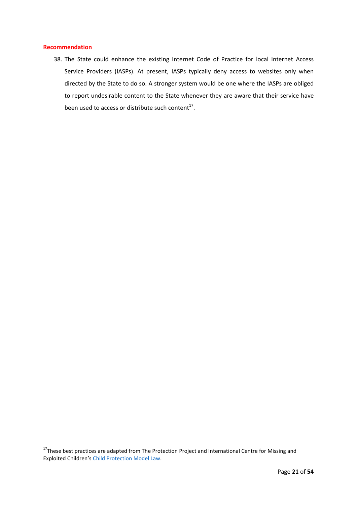## **Recommendation**

1

38. The State could enhance the existing Internet Code of Practice for local Internet Access Service Providers (IASPs). At present, IASPs typically deny access to websites only when directed by the State to do so. A stronger system would be one where the IASPs are obliged to report undesirable content to the State whenever they are aware that their service have been used to access or distribute such content $^{17}$ .

<sup>&</sup>lt;sup>17</sup>These best practices are adapted from The Protection Project and International Centre for Missing and Exploited Children's [Child Protection Model Law.](https://www.icmec.org/wp-content/uploads/2015/10/Annotated_CP_Model_Law_Jan_2013_Final_w_cover.pdf)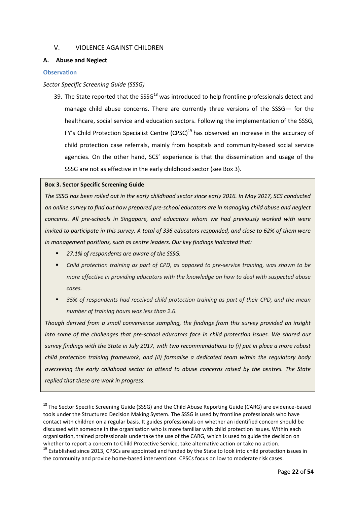## <span id="page-22-0"></span>V. VIOLENCE AGAINST CHILDREN

## <span id="page-22-1"></span>**A. Abuse and Neglect**

#### **Observation**

1

## *Sector Specific Screening Guide (SSSG)*

39. The State reported that the SSSG<sup>18</sup> was introduced to help frontline professionals detect and manage child abuse concerns. There are currently three versions of the SSSG— for the healthcare, social service and education sectors. Following the implementation of the SSSG, FY's Child Protection Specialist Centre  $(CPSC)^{19}$  has observed an increase in the accuracy of child protection case referrals, mainly from hospitals and community-based social service agencies. On the other hand, SCS' experience is that the dissemination and usage of the SSSG are not as effective in the early childhood sector (see Box 3).

#### **Box 3. Sector Specific Screening Guide**

*The SSSG has been rolled out in the early childhood sector since early 2016. In May 2017, SCS conducted an online survey to find out how prepared pre-school educators are in managing child abuse and neglect concerns. All pre-schools in Singapore, and educators whom we had previously worked with were invited to participate in this survey. A total of 336 educators responded, and close to 62% of them were in management positions, such as centre leaders. Our key findings indicated that:* 

- *27.1% of respondents are aware of the SSSG.*
- *Child protection training as part of CPD, as opposed to pre-service training, was shown to be more effective in providing educators with the knowledge on how to deal with suspected abuse cases.*
- *35% of respondents had received child protection training as part of their CPD, and the mean number of training hours was less than 2.6.*

*Though derived from a small convenience sampling, the findings from this survey provided an insight into some of the challenges that pre-school educators face in child protection issues. We shared our survey findings with the State in July 2017, with two recommendations to (i) put in place a more robust child protection training framework, and (ii) formalise a dedicated team within the regulatory body overseeing the early childhood sector to attend to abuse concerns raised by the centres. The State replied that these are work in progress.*

<sup>&</sup>lt;sup>18</sup> The Sector Specific Screening Guide (SSSG) and the Child Abuse Reporting Guide (CARG) are evidence-based tools under the Structured Decision Making System. The SSSG is used by frontline professionals who have contact with children on a regular basis. It guides professionals on whether an identified concern should be discussed with someone in the organisation who is more familiar with child protection issues. Within each organisation, trained professionals undertake the use of the CARG, which is used to guide the decision on whether to report a concern to Child Protective Service, take alternative action or take no action.

<sup>&</sup>lt;sup>19</sup> Established since 2013, CPSCs are appointed and funded by the State to look into child protection issues in the community and provide home-based interventions. CPSCs focus on low to moderate risk cases.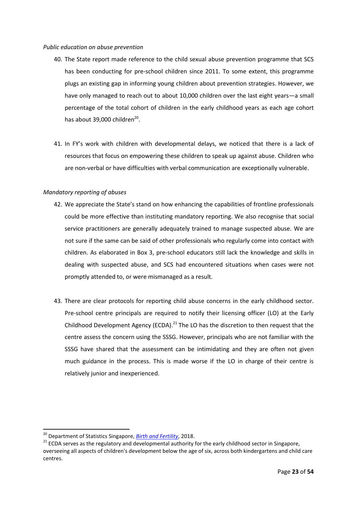#### *Public education on abuse prevention*

- 40. The State report made reference to the child sexual abuse prevention programme that SCS has been conducting for pre-school children since 2011. To some extent, this programme plugs an existing gap in informing young children about prevention strategies. However, we have only managed to reach out to about 10,000 children over the last eight years—a small percentage of the total cohort of children in the early childhood years as each age cohort has about 39,000 children<sup>20</sup>.
- 41. In FY's work with children with developmental delays, we noticed that there is a lack of resources that focus on empowering these children to speak up against abuse. Children who are non-verbal or have difficulties with verbal communication are exceptionally vulnerable.

## *Mandatory reporting of abuses*

- 42. We appreciate the State's stand on how enhancing the capabilities of frontline professionals could be more effective than instituting mandatory reporting. We also recognise that social service practitioners are generally adequately trained to manage suspected abuse. We are not sure if the same can be said of other professionals who regularly come into contact with children. As elaborated in Box 3, pre-school educators still lack the knowledge and skills in dealing with suspected abuse, and SCS had encountered situations when cases were not promptly attended to, or were mismanaged as a result.
- 43. There are clear protocols for reporting child abuse concerns in the early childhood sector. Pre-school centre principals are required to notify their licensing officer (LO) at the Early Childhood Development Agency (ECDA).<sup>21</sup> The LO has the discretion to then request that the centre assess the concern using the SSSG. However, principals who are not familiar with the SSSG have shared that the assessment can be intimidating and they are often not given much guidance in the process. This is made worse if the LO in charge of their centre is relatively junior and inexperienced.

**.** 

<sup>20</sup> Department of Statistics Singapore, *[Birth and Fertility](https://www.singstat.gov.sg/find-data/search-by-theme/population/births-and-fertility/latest-data)*, 2018.

<sup>&</sup>lt;sup>21</sup> ECDA serves as the regulatory and developmental authority for the early childhood sector in Singapore, overseeing all aspects of children's development below the age of six, across both kindergartens and child care centres.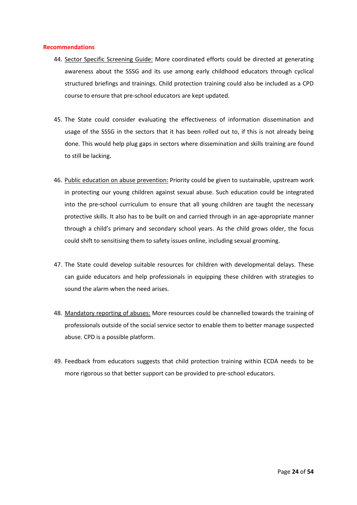#### **Recommendations**

- 44. Sector Specific Screening Guide: More coordinated efforts could be directed at generating awareness about the SSSG and its use among early childhood educators through cyclical structured briefings and trainings. Child protection training could also be included as a CPD course to ensure that pre-school educators are kept updated.
- 45. The State could consider evaluating the effectiveness of information dissemination and usage of the SSSG in the sectors that it has been rolled out to, if this is not already being done. This would help plug gaps in sectors where dissemination and skills training are found to still be lacking.
- 46. Public education on abuse prevention: Priority could be given to sustainable, upstream work in protecting our young children against sexual abuse. Such education could be integrated into the pre-school curriculum to ensure that all young children are taught the necessary protective skills. It also has to be built on and carried through in an age-appropriate manner through a child's primary and secondary school years. As the child grows older, the focus could shift to sensitising them to safety issues online, including sexual grooming.
- 47. The State could develop suitable resources for children with developmental delays. These can guide educators and help professionals in equipping these children with strategies to sound the alarm when the need arises.
- 48. Mandatory reporting of abuses: More resources could be channelled towards the training of professionals outside of the social service sector to enable them to better manage suspected abuse. CPD is a possible platform.
- <span id="page-24-0"></span>49. Feedback from educators suggests that child protection training within ECDA needs to be more rigorous so that better support can be provided to pre-school educators.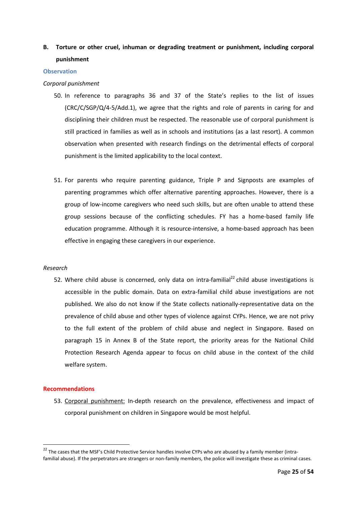# **B. Torture or other cruel, inhuman or degrading treatment or punishment, including corporal punishment**

#### **Observation**

#### *Corporal punishment*

- 50. In reference to paragraphs 36 and 37 of the State's replies to the list of issues (CRC/C/SGP/Q/4-5/Add.1), we agree that the rights and role of parents in caring for and disciplining their children must be respected. The reasonable use of corporal punishment is still practiced in families as well as in schools and institutions (as a last resort). A common observation when presented with research findings on the detrimental effects of corporal punishment is the limited applicability to the local context.
- 51. For parents who require parenting guidance, Triple P and Signposts are examples of parenting programmes which offer alternative parenting approaches. However, there is a group of low-income caregivers who need such skills, but are often unable to attend these group sessions because of the conflicting schedules. FY has a home-based family life education programme. Although it is resource-intensive, a home-based approach has been effective in engaging these caregivers in our experience.

#### *Research*

52. Where child abuse is concerned, only data on intra-familial<sup>22</sup> child abuse investigations is accessible in the public domain. Data on extra-familial child abuse investigations are not published. We also do not know if the State collects nationally-representative data on the prevalence of child abuse and other types of violence against CYPs. Hence, we are not privy to the full extent of the problem of child abuse and neglect in Singapore. Based on paragraph 15 in Annex B of the State report, the priority areas for the National Child Protection Research Agenda appear to focus on child abuse in the context of the child welfare system.

#### **Recommendations**

**.** 

53. Corporal punishment: In-depth research on the prevalence, effectiveness and impact of corporal punishment on children in Singapore would be most helpful.

<sup>&</sup>lt;sup>22</sup> The cases that the MSF's Child Protective Service handles involve CYPs who are abused by a family member (intrafamilial abuse). If the perpetrators are strangers or non-family members, the police will investigate these as criminal cases.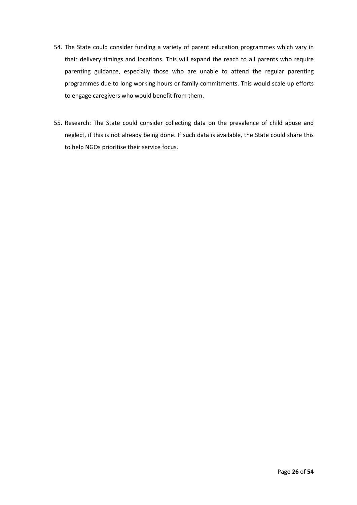- 54. The State could consider funding a variety of parent education programmes which vary in their delivery timings and locations. This will expand the reach to all parents who require parenting guidance, especially those who are unable to attend the regular parenting programmes due to long working hours or family commitments. This would scale up efforts to engage caregivers who would benefit from them.
- 55. Research: The State could consider collecting data on the prevalence of child abuse and neglect, if this is not already being done. If such data is available, the State could share this to help NGOs prioritise their service focus.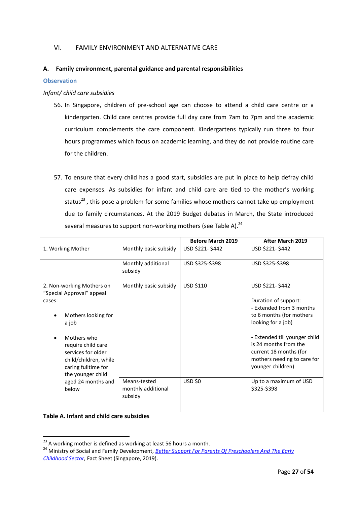## <span id="page-27-0"></span>VI. FAMILY ENVIRONMENT AND ALTERNATIVE CARE

## <span id="page-27-1"></span>**A. Family environment, parental guidance and parental responsibilities**

## **Observation**

## *Infant/ child care subsidies*

- 56. In Singapore, children of pre-school age can choose to attend a child care centre or a kindergarten. Child care centres provide full day care from 7am to 7pm and the academic curriculum complements the care component. Kindergartens typically run three to four hours programmes which focus on academic learning, and they do not provide routine care for the children.
- 57. To ensure that every child has a good start, subsidies are put in place to help defray child care expenses. As subsidies for infant and child care are tied to the mother's working status $^{23}$ , this pose a problem for some families whose mothers cannot take up employment due to family circumstances. At the 2019 Budget debates in March, the State introduced several measures to support non-working mothers (see Table A).<sup>24</sup>

|                                                                                                                              |                                               | <b>Before March 2019</b> | <b>After March 2019</b>                                                                                                              |
|------------------------------------------------------------------------------------------------------------------------------|-----------------------------------------------|--------------------------|--------------------------------------------------------------------------------------------------------------------------------------|
| 1. Working Mother                                                                                                            | Monthly basic subsidy                         | USD \$221-\$442          | USD \$221-\$442                                                                                                                      |
|                                                                                                                              | Monthly additional<br>subsidy                 | USD \$325-\$398          | USD \$325-\$398                                                                                                                      |
| 2. Non-working Mothers on<br>"Special Approval" appeal                                                                       | Monthly basic subsidy                         | USD \$110                | USD \$221-\$442                                                                                                                      |
| cases:                                                                                                                       |                                               |                          | Duration of support:<br>- Extended from 3 months                                                                                     |
| Mothers looking for<br>a job                                                                                                 |                                               |                          | to 6 months (for mothers<br>looking for a job)                                                                                       |
| Mothers who<br>require child care<br>services for older<br>child/children, while<br>caring fulltime for<br>the younger child |                                               |                          | - Extended till younger child<br>is 24 months from the<br>current 18 months (for<br>mothers needing to care for<br>younger children) |
| aged 24 months and<br>below                                                                                                  | Means-tested<br>monthly additional<br>subsidy | <b>USD \$0</b>           | Up to a maximum of USD<br>\$325-\$398                                                                                                |

**Table A. Infant and child care subsidies**

**.** 

 $^{23}$  A working mother is defined as working at least 56 hours a month.

<sup>24</sup> Ministry of Social and Family Development, *[Better Support For Parents Of Preschoolers And](https://www.msf.gov.sg/media-room/Pages/Better-Support-for-Parents-of-Preschoolers-and-the-Early-Childhood-Sector.aspx) The Early [Childhood Sector,](https://www.msf.gov.sg/media-room/Pages/Better-Support-for-Parents-of-Preschoolers-and-the-Early-Childhood-Sector.aspx)* Fact Sheet (Singapore, 2019).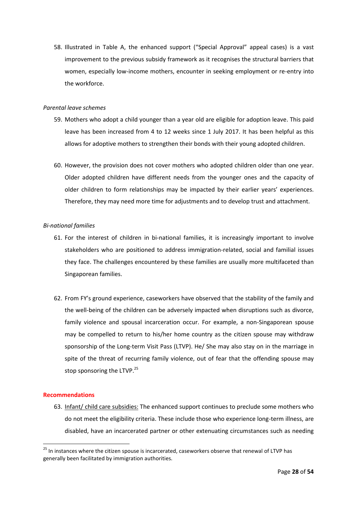58. Illustrated in Table A, the enhanced support ("Special Approval" appeal cases) is a vast improvement to the previous subsidy framework as it recognises the structural barriers that women, especially low-income mothers, encounter in seeking employment or re-entry into the workforce.

#### *Parental leave schemes*

- 59. Mothers who adopt a child younger than a year old are eligible for adoption leave. This paid leave has been increased from 4 to 12 weeks since 1 July 2017. It has been helpful as this allows for adoptive mothers to strengthen their bonds with their young adopted children.
- 60. However, the provision does not cover mothers who adopted children older than one year. Older adopted children have different needs from the younger ones and the capacity of older children to form relationships may be impacted by their earlier years' experiences. Therefore, they may need more time for adjustments and to develop trust and attachment.

## *Bi-national families*

- 61. For the interest of children in bi-national families, it is increasingly important to involve stakeholders who are positioned to address immigration-related, social and familial issues they face. The challenges encountered by these families are usually more multifaceted than Singaporean families.
- 62. From FY's ground experience, caseworkers have observed that the stability of the family and the well-being of the children can be adversely impacted when disruptions such as divorce, family violence and spousal incarceration occur. For example, a non-Singaporean spouse may be compelled to return to his/her home country as the citizen spouse may withdraw sponsorship of the Long-term Visit Pass (LTVP). He/ She may also stay on in the marriage in spite of the threat of recurring family violence, out of fear that the offending spouse may stop sponsoring the LTVP.<sup>25</sup>

#### **Recommendations**

1

63. Infant/ child care subsidies: The enhanced support continues to preclude some mothers who do not meet the eligibility criteria. These include those who experience long-term illness, are disabled, have an incarcerated partner or other extenuating circumstances such as needing

<sup>&</sup>lt;sup>25</sup> In instances where the citizen spouse is incarcerated, caseworkers observe that renewal of LTVP has generally been facilitated by immigration authorities.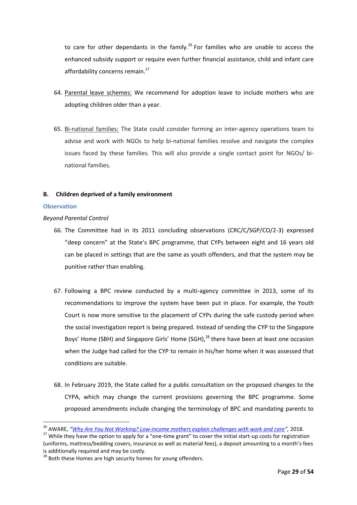to care for other dependants in the family.<sup>26</sup> For families who are unable to access the enhanced subsidy support or require even further financial assistance, child and infant care affordability concerns remain.<sup>27</sup>

- 64. Parental leave schemes: We recommend for adoption leave to include mothers who are adopting children older than a year.
- 65. Bi-national families: The State could consider forming an inter-agency operations team to advise and work with NGOs to help bi-national families resolve and navigate the complex issues faced by these families. This will also provide a single contact point for NGOs/ binational families.

#### <span id="page-29-0"></span>**B. Children deprived of a family environment**

#### **Observation**

**.** 

#### *Beyond Parental Control*

- 66. The Committee had in its 2011 concluding observations (CRC/C/SGP/CO/2-3) expressed "deep concern" at the State's BPC programme, that CYPs between eight and 16 years old can be placed in settings that are the same as youth offenders, and that the system may be punitive rather than enabling.
- 67. Following a BPC review conducted by a multi-agency committee in 2013, some of its recommendations to improve the system have been put in place. For example, the Youth Court is now more sensitive to the placement of CYPs during the safe custody period when the social investigation report is being prepared. Instead of sending the CYP to the Singapore Boys' Home (SBH) and Singapore Girls' Home (SGH),<sup>28</sup> there have been at least one occasion when the Judge had called for the CYP to remain in his/her home when it was assessed that conditions are suitable.
- 68. In February 2019, the State called for a public consultation on the proposed changes to the CYPA, which may change the current provisions governing the BPC programme. Some proposed amendments include changing the terminology of BPC and mandating parents to

<sup>26</sup> AWARE, *"[Why Are You Not Working? Low-income mothers explain challenges with work and care](https://www.aware.org.sg/reports/)",* 2018.

<sup>&</sup>lt;sup>27</sup> While they have the option to apply for a "one-time grant" to cover the initial start-up costs for registration (uniforms, mattress/bedding covers, insurance as well as material fees), a deposit amounting to a month's fees is additionally required and may be costly.

<sup>&</sup>lt;sup>28</sup> Both these Homes are high security homes for young offenders.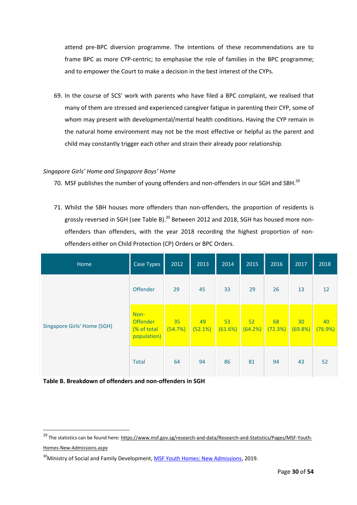attend pre-BPC diversion programme. The intentions of these recommendations are to frame BPC as more CYP-centric; to emphasise the role of families in the BPC programme; and to empower the Court to make a decision in the best interest of the CYPs.

69. In the course of SCS' work with parents who have filed a BPC complaint, we realised that many of them are stressed and experienced caregiver fatigue in parenting their CYP, some of whom may present with developmental/mental health conditions. Having the CYP remain in the natural home environment may not be the most effective or helpful as the parent and child may constantly trigger each other and strain their already poor relationship.

## *Singapore Girls' Home and Singapore Boys' Home*

- 70. MSF publishes the number of young offenders and non-offenders in our SGH and SBH.<sup>29</sup>
- 71. Whilst the SBH houses more offenders than non-offenders, the proportion of residents is grossly reversed in SGH (see Table B).<sup>30</sup> Between 2012 and 2018, SGH has housed more nonoffenders than offenders, with the year 2018 recording the highest proportion of nonoffenders either on Child Protection (CP) Orders or BPC Orders.

| Home                               | Case Types                                            | 2012          | 2013          | 2014          | 2015          | 2016          | 2017          | 2018          |
|------------------------------------|-------------------------------------------------------|---------------|---------------|---------------|---------------|---------------|---------------|---------------|
|                                    | Offender                                              | 29            | 45            | 33            | 29            | 26            | 13            | 12            |
| <b>Singapore Girls' Home (SGH)</b> | Non-<br><b>Offender</b><br>(% of total<br>population) | 35<br>(54.7%) | 49<br>(52.1%) | 53<br>(61.6%) | 52<br>(64.2%) | 68<br>(72.3%) | 30<br>(69.8%) | 40<br>(76.9%) |
|                                    | <b>Total</b>                                          | 64            | 94            | 86            | 81            | 94            | 43            | 52            |

**Table B. Breakdown of offenders and non-offenders in SGH**

**.** 

<sup>&</sup>lt;sup>29</sup> The statistics can be found here[: https://www.msf.gov.sg/research-and-data/Research-and-Statistics/Pages/MSF-Youth-](https://www.msf.gov.sg/research-and-data/Research-and-Statistics/Pages/MSF-Youth-Homes-New-Admissions.aspx)[Homes-New-Admissions.aspx](https://www.msf.gov.sg/research-and-data/Research-and-Statistics/Pages/MSF-Youth-Homes-New-Admissions.aspx)

<sup>&</sup>lt;sup>30</sup>Ministry of Social and Family Development, [MSF Youth Homes: New Admissions,](https://www.msf.gov.sg/research-and-data/Research-and-Statistics/Pages/MSF-Youth-Homes-New-Admissions.aspx) 2019.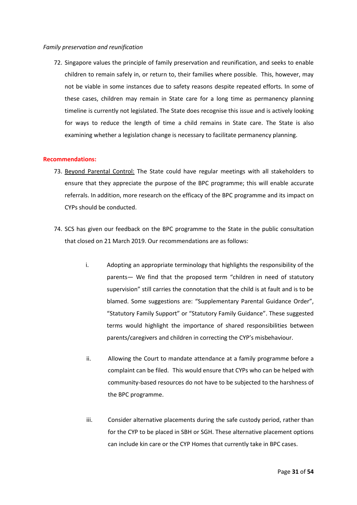#### *Family preservation and reunification*

72. Singapore values the principle of family preservation and reunification, and seeks to enable children to remain safely in, or return to, their families where possible. This, however, may not be viable in some instances due to safety reasons despite repeated efforts. In some of these cases, children may remain in State care for a long time as permanency planning timeline is currently not legislated. The State does recognise this issue and is actively looking for ways to reduce the length of time a child remains in State care. The State is also examining whether a legislation change is necessary to facilitate permanency planning.

#### **Recommendations:**

- 73. Beyond Parental Control: The State could have regular meetings with all stakeholders to ensure that they appreciate the purpose of the BPC programme; this will enable accurate referrals. In addition, more research on the efficacy of the BPC programme and its impact on CYPs should be conducted.
- 74. SCS has given our feedback on the BPC programme to the State in the public consultation that closed on 21 March 2019. Our recommendations are as follows:
	- i. Adopting an appropriate terminology that highlights the responsibility of the parents— We find that the proposed term "children in need of statutory supervision" still carries the connotation that the child is at fault and is to be blamed. Some suggestions are: "Supplementary Parental Guidance Order", "Statutory Family Support" or "Statutory Family Guidance". These suggested terms would highlight the importance of shared responsibilities between parents/caregivers and children in correcting the CYP's misbehaviour.
	- ii. Allowing the Court to mandate attendance at a family programme before a complaint can be filed. This would ensure that CYPs who can be helped with community-based resources do not have to be subjected to the harshness of the BPC programme.
	- iii. Consider alternative placements during the safe custody period, rather than for the CYP to be placed in SBH or SGH. These alternative placement options can include kin care or the CYP Homes that currently take in BPC cases.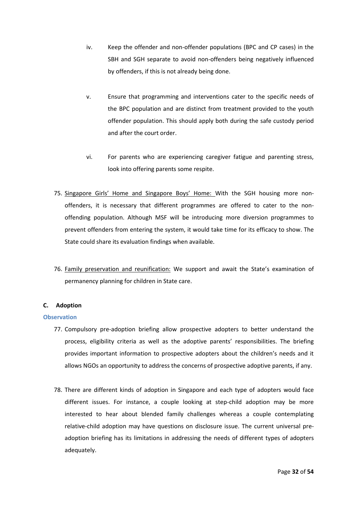- iv. Keep the offender and non-offender populations (BPC and CP cases) in the SBH and SGH separate to avoid non-offenders being negatively influenced by offenders, if this is not already being done.
- v. Ensure that programming and interventions cater to the specific needs of the BPC population and are distinct from treatment provided to the youth offender population. This should apply both during the safe custody period and after the court order.
- vi. For parents who are experiencing caregiver fatigue and parenting stress, look into offering parents some respite.
- 75. Singapore Girls' Home and Singapore Boys' Home: With the SGH housing more nonoffenders, it is necessary that different programmes are offered to cater to the nonoffending population. Although MSF will be introducing more diversion programmes to prevent offenders from entering the system, it would take time for its efficacy to show. The State could share its evaluation findings when available.
- 76. Family preservation and reunification: We support and await the State's examination of permanency planning for children in State care.

## <span id="page-32-0"></span>**C. Adoption**

## **Observation**

- 77. Compulsory pre-adoption briefing allow prospective adopters to better understand the process, eligibility criteria as well as the adoptive parents' responsibilities. The briefing provides important information to prospective adopters about the children's needs and it allows NGOs an opportunity to address the concerns of prospective adoptive parents, if any.
- 78. There are different kinds of adoption in Singapore and each type of adopters would face different issues. For instance, a couple looking at step-child adoption may be more interested to hear about blended family challenges whereas a couple contemplating relative-child adoption may have questions on disclosure issue. The current universal preadoption briefing has its limitations in addressing the needs of different types of adopters adequately.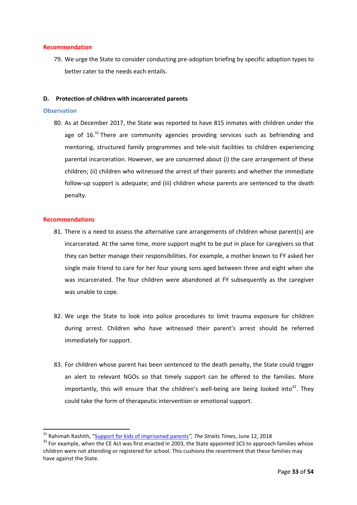## **Recommendation**

79. We urge the State to consider conducting pre-adoption briefing by specific adoption types to better cater to the needs each entails.

#### <span id="page-33-0"></span>**D. Protection of children with incarcerated parents**

#### **Observation**

80. As at December 2017, the State was reported to have 815 inmates with children under the age of  $16$ .<sup>31</sup> There are community agencies providing services such as befriending and mentoring, structured family programmes and tele-visit facilities to children experiencing parental incarceration. However, we are concerned about (i) the care arrangement of these children; (ii) children who witnessed the arrest of their parents and whether the immediate follow-up support is adequate; and (iii) children whose parents are sentenced to the death penalty.

#### **Recommendations**

**.** 

- 81. There is a need to assess the alternative care arrangements of children whose parent(s) are incarcerated. At the same time, more support ought to be put in place for caregivers so that they can better manage their responsibilities. For example, a mother known to FY asked her single male friend to care for her four young sons aged between three and eight when she was incarcerated. The four children were abandoned at FY subsequently as the caregiver was unable to cope.
- 82. We urge the State to look into police procedures to limit trauma exposure for children during arrest. Children who have witnessed their parent's arrest should be referred immediately for support.
- 83. For children whose parent has been sentenced to the death penalty, the State could trigger an alert to relevant NGOs so that timely support can be offered to the families. More importantly, this will ensure that the children's well-being are being looked into<sup>32</sup>. They could take the form of therapeutic intervention or emotional support.

<sup>31</sup> Rahimah Rashith, "[Support for kids of imprisoned parents](https://www.straitstimes.com/singapore/courts-crime/support-for-kids-of-imprisoned-parents)*", The Straits Times*, June 12, 2018

<sup>&</sup>lt;sup>32</sup> For example, when the CE Act was first enacted in 2003, the State appointed SCS to approach families whose children were not attending or registered for school. This cushions the resentment that these families may have against the State.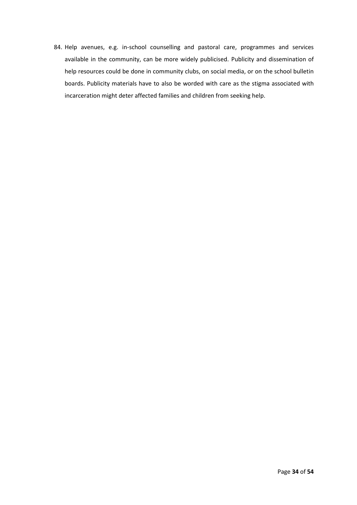84. Help avenues, e.g. in-school counselling and pastoral care, programmes and services available in the community, can be more widely publicised. Publicity and dissemination of help resources could be done in community clubs, on social media, or on the school bulletin boards. Publicity materials have to also be worded with care as the stigma associated with incarceration might deter affected families and children from seeking help.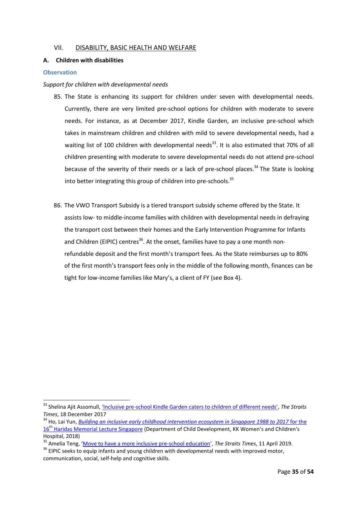## <span id="page-35-0"></span>VII. DISABILITY, BASIC HEALTH AND WELFARE

## <span id="page-35-1"></span>**A. Children with disabilities**

#### **Observation**

1

#### *Support for children with developmental needs*

- 85. The State is enhancing its support for children under seven with developmental needs. Currently, there are very limited pre-school options for children with moderate to severe needs. For instance, as at December 2017, Kindle Garden, an inclusive pre-school which takes in mainstream children and children with mild to severe developmental needs, had a waiting list of 100 children with developmental needs<sup>33</sup>. It is also estimated that 70% of all children presenting with moderate to severe developmental needs do not attend pre-school because of the severity of their needs or a lack of pre-school places.<sup>34</sup> The State is looking into better integrating this group of children into pre-schools.<sup>35</sup>
- 86. The VWO Transport Subsidy is a tiered transport subsidy scheme offered by the State. It assists low- to middle-income families with children with developmental needs in defraying the transport cost between their homes and the Early Intervention Programme for Infants and Children (EIPIC) centres<sup>36</sup>. At the onset, families have to pay a one month nonrefundable deposit and the first month's transport fees. As the State reimburses up to 80% of the first month's transport fees only in the middle of the following month, finances can be tight for low-income families like Mary's, a client of FY (see Box 4).

<sup>&</sup>lt;sup>33</sup> Shelina Ajit Assomull, <u>'Inclusive pre-[school Kindle Garden caters to children of different needs'](https://www.straitstimes.com/singapore/education/catering-to-children-of-different-needs)</u>, *The Straits Times*, 18 December 2017

<sup>34</sup> Ho, Lai Yun, *[Building an inclusive early childhood intervention ecosystem in Singapore 1988 to 2017](https://www.childrensociety.org.sg/resources/ck/files/Building%20an%20Inclusive%20Early%20Childhood%20Intrvention%20Ecosystem%20in%20Singapore%201988-2017%2016th%20HaridasMemorial%20Lecture%202018%20%20HOLAIYUN_.pdf)* for the 16<sup>th</sup> [Haridas Memorial Lecture Singapore](https://www.childrensociety.org.sg/resources/ck/files/Building%20an%20Inclusive%20Early%20Childhood%20Intrvention%20Ecosystem%20in%20Singapore%201988-2017%2016th%20HaridasMemorial%20Lecture%202018%20%20HOLAIYUN_.pdf) (Department of Child Development, KK Women's and Children's Hospital, 2018)

<sup>35</sup> Amelia Teng, '[Move to have a more inclusive pre-school education](https://www.straitstimes.com/singapore/education/move-to-have-a-more-inclusive-pre-school-education)', *The Straits Times*, 11 April 2019.

<sup>&</sup>lt;sup>36</sup> EIPIC seeks to equip infants and young children with developmental needs with improved motor, communication, social, self-help and cognitive skills.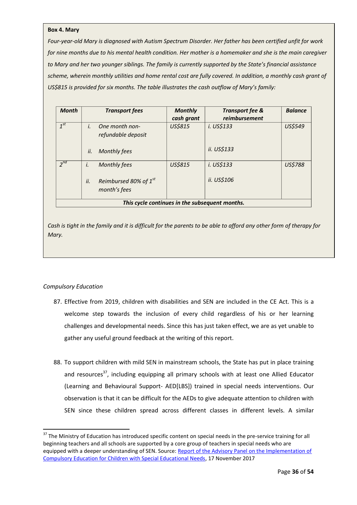#### **Box 4. Mary**

*Four-year-old Mary is diagnosed with Autism Spectrum Disorder. Her father has been certified unfit for work for nine months due to his mental health condition. Her mother is a homemaker and she is the main caregiver to Mary and her two younger siblings. The family is currently supported by the State's financial assistance*  scheme, wherein monthly utilities and home rental cost are fully covered. In addition, a monthly cash grant of US\$815 is provided for six months. The table illustrates the cash outflow of Mary's family:

| <b>Month</b>                                   |     | <b>Transport fees</b>                             | <b>Monthly</b> | <b>Transport fee &amp;</b><br>reimbursement | <b>Balance</b> |  |  |
|------------------------------------------------|-----|---------------------------------------------------|----------------|---------------------------------------------|----------------|--|--|
|                                                |     |                                                   | cash grant     |                                             |                |  |  |
| $1^{st}$                                       | i.  | One month non-                                    | <b>US\$815</b> | i. US\$133                                  | US\$549        |  |  |
|                                                |     | refundable deposit                                |                |                                             |                |  |  |
|                                                | ii. | <b>Monthly fees</b>                               |                | ii. US\$133                                 |                |  |  |
| $2^{nd}$                                       | i.  | <b>Monthly fees</b>                               | <b>US\$815</b> | i. US\$133                                  | <b>US\$788</b> |  |  |
|                                                | ii. | Reimbursed 80% of 1 <sup>st</sup><br>month's fees |                | ii. US\$106                                 |                |  |  |
| This cycle continues in the subsequent months. |     |                                                   |                |                                             |                |  |  |

*Cash is tight in the family and it is difficult for the parents to be able to afford any other form of therapy for Mary.*

## *Compulsory Education*

**.** 

- 87. Effective from 2019, children with disabilities and SEN are included in the CE Act. This is a welcome step towards the inclusion of every child regardless of his or her learning challenges and developmental needs. Since this has just taken effect, we are as yet unable to gather any useful ground feedback at the writing of this report.
- 88. To support children with mild SEN in mainstream schools, the State has put in place training and resources<sup>37</sup>, including equipping all primary schools with at least one Allied Educator (Learning and Behavioural Support- AED[LBS]) trained in special needs interventions. Our observation is that it can be difficult for the AEDs to give adequate attention to children with SEN since these children spread across different classes in different levels. A similar

<sup>&</sup>lt;sup>37</sup> The Ministry of Education has introduced specific content on special needs in the pre-service training for all beginning teachers and all schools are supported by a core group of teachers in special needs who are equipped with a deeper understanding of SEN. Source[: Report of the Advisory Panel on the Implementation of](https://www.moe.gov.sg/docs/default-source/document/education/special-education/files/iap-report.pdf)  [Compulsory Education for Children with Special Educational Needs,](https://www.moe.gov.sg/docs/default-source/document/education/special-education/files/iap-report.pdf) 17 November 2017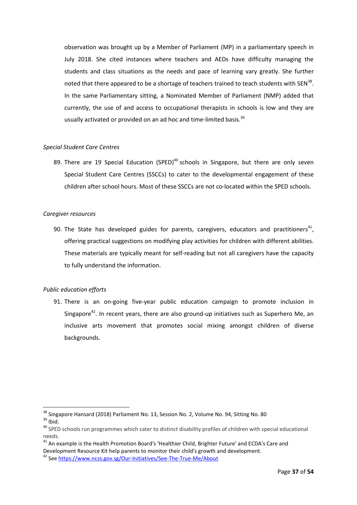observation was brought up by a Member of Parliament (MP) in a parliamentary speech in July 2018. She cited instances where teachers and AEDs have difficulty managing the students and class situations as the needs and pace of learning vary greatly. She further noted that there appeared to be a shortage of teachers trained to teach students with SEN<sup>38</sup>. In the same Parliamentary sitting, a Nominated Member of Parliament (NMP) added that currently, the use of and access to occupational therapists in schools is low and they are usually activated or provided on an ad hoc and time-limited basis.<sup>39</sup>

## *Special Student Care Centres*

89. There are 19 Special Education (SPED)<sup>40</sup> schools in Singapore, but there are only seven Special Student Care Centres (SSCCs) to cater to the developmental engagement of these children after school hours. Most of these SSCCs are not co-located within the SPED schools.

#### *Caregiver resources*

90. The State has developed guides for parents, caregivers, educators and practitioners<sup>41</sup>, offering practical suggestions on modifying play activities for children with different abilities. These materials are typically meant for self-reading but not all caregivers have the capacity to fully understand the information.

## *Public education efforts*

91. There is an on-going five-year public education campaign to promote inclusion in Singapore<sup>42</sup>. In recent years, there are also ground-up initiatives such as Superhero Me, an inclusive arts movement that promotes social mixing amongst children of diverse backgrounds.

 $\overline{a}$ 

<sup>&</sup>lt;sup>38</sup> Singapore Hansard (2018) Parliament No. 13, Session No. 2, Volume No. 94, Sitting No. 80

 $39$  Ibid.

<sup>&</sup>lt;sup>40</sup> SPED schools run programmes which cater to distinct disability profiles of children with special educational needs.

 $41$  An example is the Health Promotion Board's 'Healthier Child, Brighter Future' and ECDA's Care and Development Resource Kit help parents to monitor their child's growth and development.

<sup>42</sup> Se[e https://www.ncss.gov.sg/Our-Initiatives/See-The-True-Me/About](https://www.ncss.gov.sg/Our-Initiatives/See-The-True-Me/About)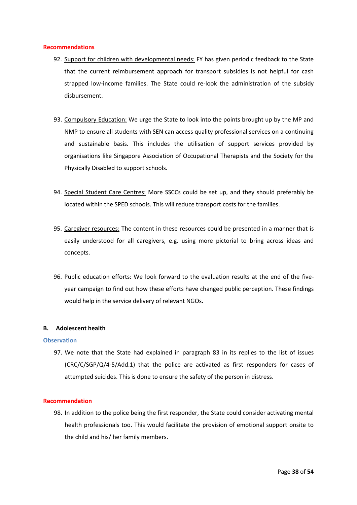#### **Recommendations**

- 92. Support for children with developmental needs: FY has given periodic feedback to the State that the current reimbursement approach for transport subsidies is not helpful for cash strapped low-income families. The State could re-look the administration of the subsidy disbursement.
- 93. Compulsory Education: We urge the State to look into the points brought up by the MP and NMP to ensure all students with SEN can access quality professional services on a continuing and sustainable basis. This includes the utilisation of support services provided by organisations like Singapore Association of Occupational Therapists and the Society for the Physically Disabled to support schools.
- 94. Special Student Care Centres: More SSCCs could be set up, and they should preferably be located within the SPED schools. This will reduce transport costs for the families.
- 95. Caregiver resources: The content in these resources could be presented in a manner that is easily understood for all caregivers, e.g. using more pictorial to bring across ideas and concepts.
- 96. Public education efforts: We look forward to the evaluation results at the end of the fiveyear campaign to find out how these efforts have changed public perception. These findings would help in the service delivery of relevant NGOs.

## <span id="page-38-0"></span>**B. Adolescent health**

#### **Observation**

97. We note that the State had explained in paragraph 83 in its replies to the list of issues (CRC/C/SGP/Q/4-5/Add.1) that the police are activated as first responders for cases of attempted suicides. This is done to ensure the safety of the person in distress.

#### **Recommendation**

98. In addition to the police being the first responder, the State could consider activating mental health professionals too. This would facilitate the provision of emotional support onsite to the child and his/ her family members.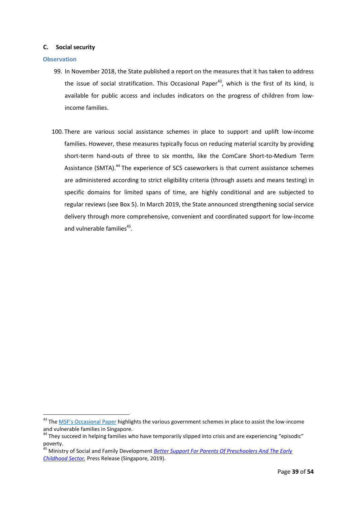## <span id="page-39-0"></span>**C. Social security**

#### **Observation**

**.** 

- 99. In November 2018, the State published a report on the measures that it has taken to address the issue of social stratification. This Occasional Paper<sup>43</sup>, which is the first of its kind, is available for public access and includes indicators on the progress of children from lowincome families.
- 100. There are various social assistance schemes in place to support and uplift low-income families. However, these measures typically focus on reducing material scarcity by providing short-term hand-outs of three to six months, like the ComCare Short-to-Medium Term Assistance (SMTA).<sup>44</sup> The experience of SCS caseworkers is that current assistance schemes are administered according to strict eligibility criteria (through assets and means testing) in specific domains for limited spans of time, are highly conditional and are subjected to regular reviews (see Box 5). In March 2019, the State announced strengthening social service delivery through more comprehensive, convenient and coordinated support for low-income and vulnerable families<sup>45</sup>.

<sup>&</sup>lt;sup>43</sup> The <u>[MSF's Occasional Pa](https://www.gov.sg/~/sgpcmedia/media_releases/msf/press_release/P-20181101-1/attachment/Occasional%20Paper%20-%20Improving%20the%20lives%20of%20low-income%20and%20vulnerable%20families%20in%20Singapore.pdf)per</u> highlights the various government schemes in place to assist the low-income and vulnerable families in Singapore.

<sup>&</sup>lt;sup>44</sup> They succeed in helping families who have temporarily slipped into crisis and are experiencing "episodic" poverty.

<sup>45</sup> Ministry of Social and Family Development *[Better Support For Parents Of Preschoolers And The Early](https://www.msf.gov.sg/media-room/Pages/More-Comprehensive-Convenient-and-Coordinated-Support-for-Low-Income-and-Vulnerable-Families.aspx)  [Childhood Sector,](https://www.msf.gov.sg/media-room/Pages/More-Comprehensive-Convenient-and-Coordinated-Support-for-Low-Income-and-Vulnerable-Families.aspx)* Press Release (Singapore, 2019).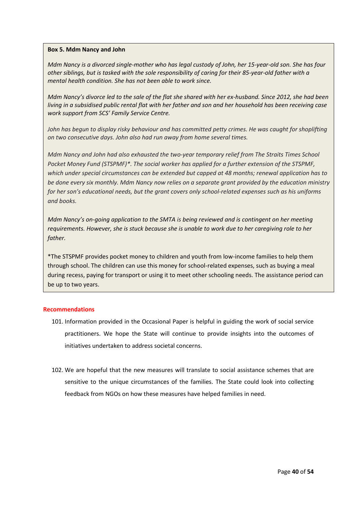## **Box 5. Mdm Nancy and John**

*Mdm Nancy is a divorced single-mother who has legal custody of John, her 15-year-old son. She has four other siblings, but is tasked with the sole responsibility of caring for their 85-year-old father with a mental health condition. She has not been able to work since.*

*Mdm Nancy's divorce led to the sale of the flat she shared with her ex-husband. Since 2012, she had been living in a subsidised public rental flat with her father and son and her household has been receiving case work support from SCS' Family Service Centre.*

*John has begun to display risky behaviour and has committed petty crimes. He was caught for shoplifting on two consecutive days. John also had run away from home several times.*

*Mdm Nancy and John had also exhausted the two-year temporary relief from The Straits Times School Pocket Money Fund (STSPMF)\*. The social worker has applied for a further extension of the STSPMF, which under special circumstances can be extended but capped at 48 months; renewal application has to be done every six monthly. Mdm Nancy now relies on a separate grant provided by the education ministry for her son's educational needs, but the grant covers only school-related expenses such as his uniforms and books.*

*Mdm Nancy's on-going application to the SMTA is being reviewed and is contingent on her meeting requirements. However, she is stuck because she is unable to work due to her caregiving role to her father.*

\*The STSPMF provides pocket money to children and youth from low-income families to help them through school. The children can use this money for school-related expenses, such as buying a meal during recess, paying for transport or using it to meet other schooling needs. The assistance period can be up to two years.

## **Recommendations**

- 101. Information provided in the Occasional Paper is helpful in guiding the work of social service practitioners. We hope the State will continue to provide insights into the outcomes of initiatives undertaken to address societal concerns.
- 102. We are hopeful that the new measures will translate to social assistance schemes that are sensitive to the unique circumstances of the families. The State could look into collecting feedback from NGOs on how these measures have helped families in need.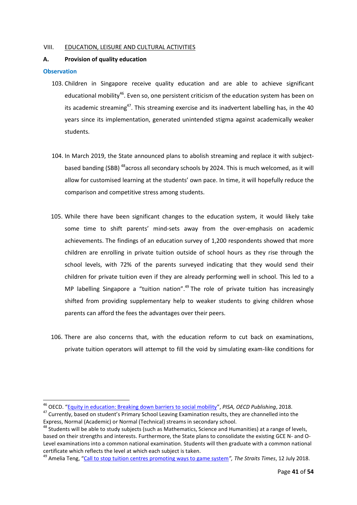#### <span id="page-41-0"></span>VIII. EDUCATION, LEISURE AND CULTURAL ACTIVITIES

#### <span id="page-41-1"></span>**A. Provision of quality education**

#### **Observation**

1

- 103. Children in Singapore receive quality education and are able to achieve significant educational mobility<sup>46</sup>. Even so, one persistent criticism of the education system has been on its academic streaming<sup>47</sup>. This streaming exercise and its inadvertent labelling has, in the 40 years since its implementation, generated unintended stigma against academically weaker students.
- 104. In March 2019, the State announced plans to abolish streaming and replace it with subjectbased banding (SBB) <sup>48</sup> across all secondary schools by 2024. This is much welcomed, as it will allow for customised learning at the students' own pace. In time, it will hopefully reduce the comparison and competitive stress among students.
- 105. While there have been significant changes to the education system, it would likely take some time to shift parents' mind-sets away from the over-emphasis on academic achievements. The findings of an education survey of 1,200 respondents showed that more children are enrolling in private tuition outside of school hours as they rise through the school levels, with 72% of the parents surveyed indicating that they would send their children for private tuition even if they are already performing well in school. This led to a MP labelling Singapore a "tuition nation".<sup>49</sup> The role of private tuition has increasingly shifted from providing supplementary help to weaker students to giving children whose parents can afford the fees the advantages over their peers.
- 106. There are also concerns that, with the education reform to cut back on examinations, private tuition operators will attempt to fill the void by simulating exam-like conditions for

<sup>46</sup> OECD. "[Equity in education: Breaking down barriers to social mobility](http://www.oecd.org/publications/equity-in-education-9789264073234-en.htm)", *PISA, OECD Publishing*, 2018.

<sup>&</sup>lt;sup>47</sup> Currently, based on student's Primary School Leaving Examination results, they are channelled into the Express, Normal (Academic) or Normal (Technical) streams in secondary school.

<sup>&</sup>lt;sup>48</sup> Students will be able to study subjects (such as Mathematics, Science and Humanities) at a range of levels, based on their strengths and interests. Furthermore, the State plans to consolidate the existing GCE N- and O-Level examinations into a common national examination. Students will then graduate with a common national certificate which reflects the level at which each subject is taken.

<sup>49</sup> Amelia Teng, "[Call to stop tuition centres promoting ways to game system](https://www.straitstimes.com/politics/call-to-stop-tuition-centres-promoting-ways-to-game-system)*", The Straits Times*, 12 July 2018.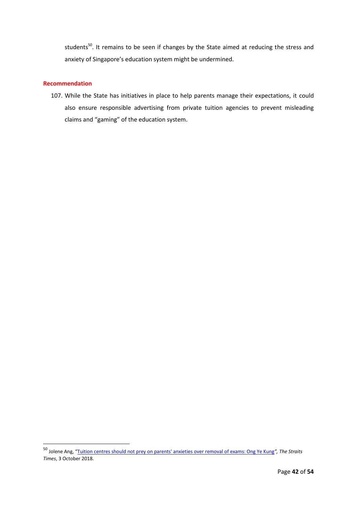students<sup>50</sup>. It remains to be seen if changes by the State aimed at reducing the stress and anxiety of Singapore's education system might be undermined.

## **Recommendation**

1

107. While the State has initiatives in place to help parents manage their expectations, it could also ensure responsible advertising from private tuition agencies to prevent misleading claims and "gaming" of the education system.

<sup>50</sup> Jolene Ang, "[Tuition centres should not prey on parents' anxieties over removal of exams: Ong Ye Kung](https://www.straitstimes.com/singapore/education/tuition-centres-should-not-prey-on-parents-anxieties-over-removal-of-exams-ong)*", The Straits Times*, 3 October 2018.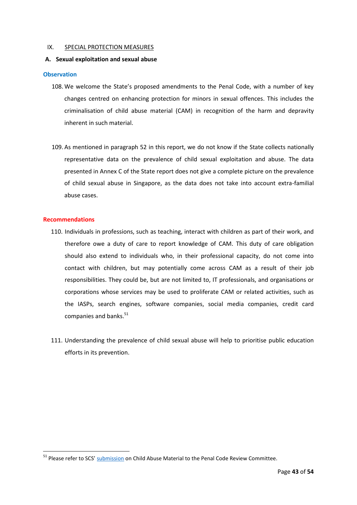#### <span id="page-43-0"></span>IX. SPECIAL PROTECTION MEASURES

#### <span id="page-43-1"></span>**A. Sexual exploitation and sexual abuse**

#### **Observation**

- 108. We welcome the State's proposed amendments to the Penal Code, with a number of key changes centred on enhancing protection for minors in sexual offences. This includes the criminalisation of child abuse material (CAM) in recognition of the harm and depravity inherent in such material.
- 109. As mentioned in paragraph 52 in this report, we do not know if the State collects nationally representative data on the prevalence of child sexual exploitation and abuse. The data presented in Annex C of the State report does not give a complete picture on the prevalence of child sexual abuse in Singapore, as the data does not take into account extra-familial abuse cases.

#### **Recommendations**

**.** 

- 110. Individuals in professions, such as teaching, interact with children as part of their work, and therefore owe a duty of care to report knowledge of CAM. This duty of care obligation should also extend to individuals who, in their professional capacity, do not come into contact with children, but may potentially come across CAM as a result of their job responsibilities. They could be, but are not limited to, IT professionals, and organisations or corporations whose services may be used to proliferate CAM or related activities, such as the IASPs, search engines, software companies, social media companies, credit card companies and banks.<sup>51</sup>
- 111. Understanding the prevalence of child sexual abuse will help to prioritise public education efforts in its prevention.

<sup>&</sup>lt;sup>51</sup> Please refer to SCS' [submission](https://www.childrensociety.org.sg/resources/ck/files/news/Key%20recommendations%20for%20Legislation%20against%20Child%20Sexual%20Abuse%20Material_Final_with%20logo.pdf) on Child Abuse Material to the Penal Code Review Committee.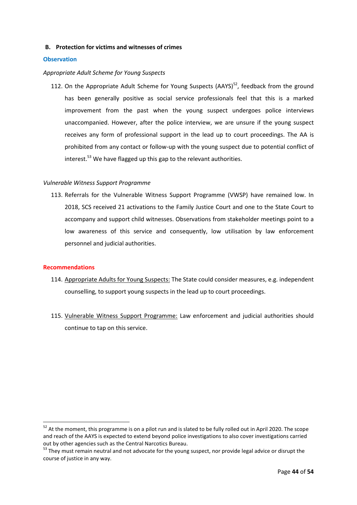## **B. Protection for victims and witnesses of crimes**

## **Observation**

#### *Appropriate Adult Scheme for Young Suspects*

112. On the Appropriate Adult Scheme for Young Suspects (AAYS)<sup>52</sup>, feedback from the ground has been generally positive as social service professionals feel that this is a marked improvement from the past when the young suspect undergoes police interviews unaccompanied. However, after the police interview, we are unsure if the young suspect receives any form of professional support in the lead up to court proceedings. The AA is prohibited from any contact or follow-up with the young suspect due to potential conflict of interest.<sup>53</sup> We have flagged up this gap to the relevant authorities.

#### *Vulnerable Witness Support Programme*

113. Referrals for the Vulnerable Witness Support Programme (VWSP) have remained low. In 2018, SCS received 21 activations to the Family Justice Court and one to the State Court to accompany and support child witnesses. Observations from stakeholder meetings point to a low awareness of this service and consequently, low utilisation by law enforcement personnel and judicial authorities.

#### **Recommendations**

**.** 

- 114. Appropriate Adults for Young Suspects: The State could consider measures, e.g. independent counselling, to support young suspects in the lead up to court proceedings.
- 115. Vulnerable Witness Support Programme: Law enforcement and judicial authorities should continue to tap on this service.

 $52$  At the moment, this programme is on a pilot run and is slated to be fully rolled out in April 2020. The scope and reach of the AAYS is expected to extend beyond police investigations to also cover investigations carried out by other agencies such as the Central Narcotics Bureau.

<sup>&</sup>lt;sup>53</sup> They must remain neutral and not advocate for the young suspect, nor provide legal advice or disrupt the course of justice in any way.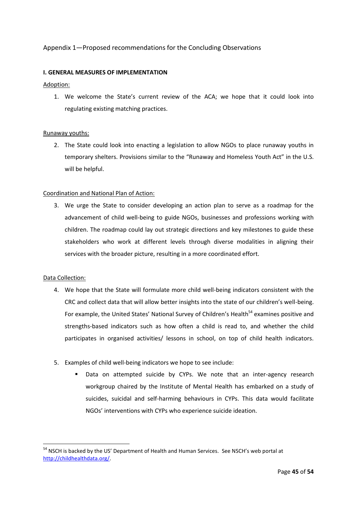## Appendix 1—Proposed recommendations for the Concluding Observations

## **I. GENERAL MEASURES OF IMPLEMENTATION**

## Adoption:

1. We welcome the State's current review of the ACA; we hope that it could look into regulating existing matching practices.

## Runaway youths:

2. The State could look into enacting a legislation to allow NGOs to place runaway youths in temporary shelters. Provisions similar to the "Runaway and Homeless Youth Act" in the U.S. will be helpful.

#### Coordination and National Plan of Action:

3. We urge the State to consider developing an action plan to serve as a roadmap for the advancement of child well-being to guide NGOs, businesses and professions working with children. The roadmap could lay out strategic directions and key milestones to guide these stakeholders who work at different levels through diverse modalities in aligning their services with the broader picture, resulting in a more coordinated effort.

## Data Collection:

- 4. We hope that the State will formulate more child well-being indicators consistent with the CRC and collect data that will allow better insights into the state of our children's well-being. For example, the United States' National Survey of Children's Health<sup>54</sup> examines positive and strengths-based indicators such as how often a child is read to, and whether the child participates in organised activities/ lessons in school, on top of child health indicators.
- 5. Examples of child well-being indicators we hope to see include:
	- Data on attempted suicide by CYPs. We note that an inter-agency research workgroup chaired by the Institute of Mental Health has embarked on a study of suicides, suicidal and self-harming behaviours in CYPs. This data would facilitate NGOs' interventions with CYPs who experience suicide ideation.

<sup>1</sup> <sup>54</sup> NSCH is backed by the US' Department of Health and Human Services. See NSCH's web portal at [http://childhealthdata.org/.](http://childhealthdata.org/)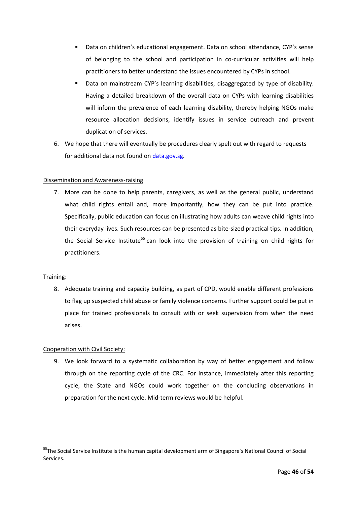- Data on children's educational engagement. Data on school attendance, CYP's sense of belonging to the school and participation in co-curricular activities will help practitioners to better understand the issues encountered by CYPs in school.
- Data on mainstream CYP's learning disabilities, disaggregated by type of disability. Having a detailed breakdown of the overall data on CYPs with learning disabilities will inform the prevalence of each learning disability, thereby helping NGOs make resource allocation decisions, identify issues in service outreach and prevent duplication of services.
- 6. We hope that there will eventually be procedures clearly spelt out with regard to requests for additional data not found on [data.gov.sg.](https://data.gov.sg/)

## Dissemination and Awareness-raising

7. More can be done to help parents, caregivers, as well as the general public, understand what child rights entail and, more importantly, how they can be put into practice. Specifically, public education can focus on illustrating how adults can weave child rights into their everyday lives. Such resources can be presented as bite-sized practical tips. In addition, the Social Service Institute<sup>55</sup> can look into the provision of training on child rights for practitioners.

## Training:

1

8. Adequate training and capacity building, as part of CPD, would enable different professions to flag up suspected child abuse or family violence concerns. Further support could be put in place for trained professionals to consult with or seek supervision from when the need arises.

## Cooperation with Civil Society:

9. We look forward to a systematic collaboration by way of better engagement and follow through on the reporting cycle of the CRC. For instance, immediately after this reporting cycle, the State and NGOs could work together on the concluding observations in preparation for the next cycle. Mid-term reviews would be helpful.

<sup>&</sup>lt;sup>55</sup>The Social Service Institute is the human capital development arm of Singapore's National Council of Social Services.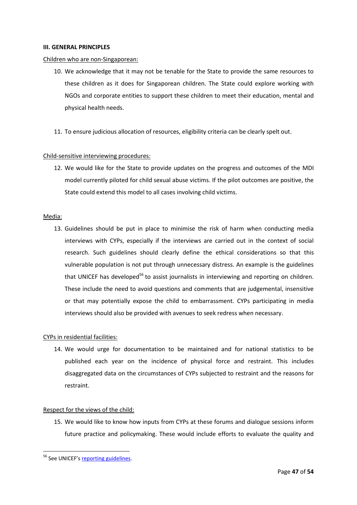#### **III. GENERAL PRINCIPLES**

#### Children who are non-Singaporean:

- 10. We acknowledge that it may not be tenable for the State to provide the same resources to these children as it does for Singaporean children. The State could explore working with NGOs and corporate entities to support these children to meet their education, mental and physical health needs.
- 11. To ensure judicious allocation of resources, eligibility criteria can be clearly spelt out.

#### Child-sensitive interviewing procedures:

12. We would like for the State to provide updates on the progress and outcomes of the MDI model currently piloted for child sexual abuse victims. If the pilot outcomes are positive, the State could extend this model to all cases involving child victims.

#### Media:

13. Guidelines should be put in place to minimise the risk of harm when conducting media interviews with CYPs, especially if the interviews are carried out in the context of social research. Such guidelines should clearly define the ethical considerations so that this vulnerable population is not put through unnecessary distress. An example is the guidelines that UNICEF has developed<sup>56</sup> to assist journalists in interviewing and reporting on children. These include the need to avoid questions and comments that are judgemental, insensitive or that may potentially expose the child to embarrassment. CYPs participating in media interviews should also be provided with avenues to seek redress when necessary.

#### CYPs in residential facilities:

14. We would urge for documentation to be maintained and for national statistics to be published each year on the incidence of physical force and restraint. This includes disaggregated data on the circumstances of CYPs subjected to restraint and the reasons for restraint.

#### Respect for the views of the child:

15. We would like to know how inputs from CYPs at these forums and dialogue sessions inform future practice and policymaking. These would include efforts to evaluate the quality and

**.** 

<sup>&</sup>lt;sup>56</sup> See UNICEF's [reporting guidelines.](https://www.unicef.org/media/media_tools_guidelines.html)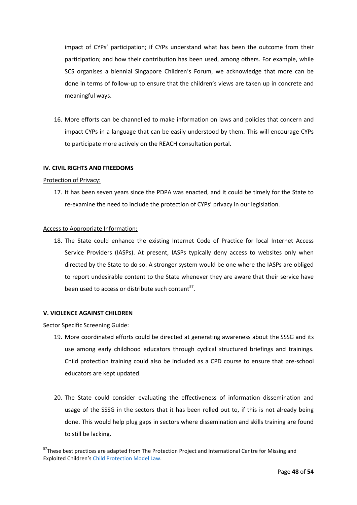impact of CYPs' participation; if CYPs understand what has been the outcome from their participation; and how their contribution has been used, among others. For example, while SCS organises a biennial Singapore Children's Forum, we acknowledge that more can be done in terms of follow-up to ensure that the children's views are taken up in concrete and meaningful ways.

16. More efforts can be channelled to make information on laws and policies that concern and impact CYPs in a language that can be easily understood by them. This will encourage CYPs to participate more actively on the REACH consultation portal.

#### **IV. CIVIL RIGHTS AND FREEDOMS**

#### Protection of Privacy:

17. It has been seven years since the PDPA was enacted, and it could be timely for the State to re-examine the need to include the protection of CYPs' privacy in our legislation.

#### Access to Appropriate Information:

18. The State could enhance the existing Internet Code of Practice for local Internet Access Service Providers (IASPs). At present, IASPs typically deny access to websites only when directed by the State to do so. A stronger system would be one where the IASPs are obliged to report undesirable content to the State whenever they are aware that their service have been used to access or distribute such content<sup>57</sup>.

#### **V. VIOLENCE AGAINST CHILDREN**

Sector Specific Screening Guide:

1

- 19. More coordinated efforts could be directed at generating awareness about the SSSG and its use among early childhood educators through cyclical structured briefings and trainings. Child protection training could also be included as a CPD course to ensure that pre-school educators are kept updated.
- 20. The State could consider evaluating the effectiveness of information dissemination and usage of the SSSG in the sectors that it has been rolled out to, if this is not already being done. This would help plug gaps in sectors where dissemination and skills training are found to still be lacking.

<sup>&</sup>lt;sup>57</sup>These best practices are adapted from The Protection Project and International Centre for Missing and Exploited Children's [Child Protection Model Law.](https://www.icmec.org/wp-content/uploads/2015/10/Annotated_CP_Model_Law_Jan_2013_Final_w_cover.pdf)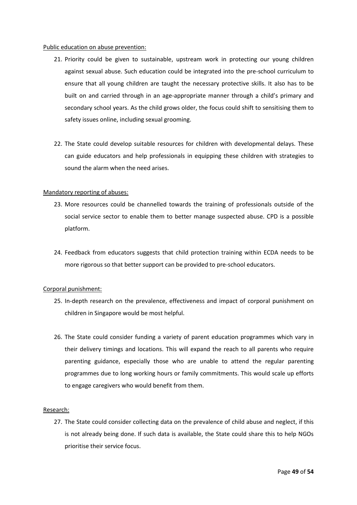#### Public education on abuse prevention:

- 21. Priority could be given to sustainable, upstream work in protecting our young children against sexual abuse. Such education could be integrated into the pre-school curriculum to ensure that all young children are taught the necessary protective skills. It also has to be built on and carried through in an age-appropriate manner through a child's primary and secondary school years. As the child grows older, the focus could shift to sensitising them to safety issues online, including sexual grooming.
- 22. The State could develop suitable resources for children with developmental delays. These can guide educators and help professionals in equipping these children with strategies to sound the alarm when the need arises.

## Mandatory reporting of abuses:

- 23. More resources could be channelled towards the training of professionals outside of the social service sector to enable them to better manage suspected abuse. CPD is a possible platform.
- 24. Feedback from educators suggests that child protection training within ECDA needs to be more rigorous so that better support can be provided to pre-school educators.

## Corporal punishment:

- 25. In-depth research on the prevalence, effectiveness and impact of corporal punishment on children in Singapore would be most helpful.
- 26. The State could consider funding a variety of parent education programmes which vary in their delivery timings and locations. This will expand the reach to all parents who require parenting guidance, especially those who are unable to attend the regular parenting programmes due to long working hours or family commitments. This would scale up efforts to engage caregivers who would benefit from them.

## Research:

27. The State could consider collecting data on the prevalence of child abuse and neglect, if this is not already being done. If such data is available, the State could share this to help NGOs prioritise their service focus.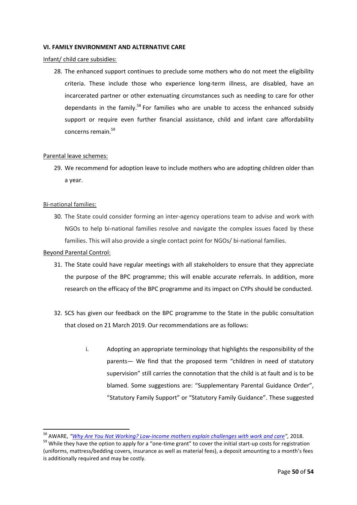#### **VI. FAMILY ENVIRONMENT AND ALTERNATIVE CARE**

Infant/ child care subsidies:

28. The enhanced support continues to preclude some mothers who do not meet the eligibility criteria. These include those who experience long-term illness, are disabled, have an incarcerated partner or other extenuating circumstances such as needing to care for other dependants in the family.<sup>58</sup> For families who are unable to access the enhanced subsidy support or require even further financial assistance, child and infant care affordability concerns remain.<sup>59</sup>

## Parental leave schemes:

29. We recommend for adoption leave to include mothers who are adopting children older than a year.

#### Bi-national families:

30. The State could consider forming an inter-agency operations team to advise and work with NGOs to help bi-national families resolve and navigate the complex issues faced by these families. This will also provide a single contact point for NGOs/ bi-national families.

#### Beyond Parental Control:

**.** 

- 31. The State could have regular meetings with all stakeholders to ensure that they appreciate the purpose of the BPC programme; this will enable accurate referrals. In addition, more research on the efficacy of the BPC programme and its impact on CYPs should be conducted.
- 32. SCS has given our feedback on the BPC programme to the State in the public consultation that closed on 21 March 2019. Our recommendations are as follows:
	- i. Adopting an appropriate terminology that highlights the responsibility of the parents— We find that the proposed term "children in need of statutory supervision" still carries the connotation that the child is at fault and is to be blamed. Some suggestions are: "Supplementary Parental Guidance Order", "Statutory Family Support" or "Statutory Family Guidance". These suggested

<sup>58</sup> AWARE, *"Why Are You Not Working? Low-income mothers explain challenges with work and care",* 2018.

 $59$  While they have the option to apply for a "one-time grant" to cover the initial start-up costs for registration (uniforms, mattress/bedding covers, insurance as well as material fees), a deposit amounting to a month's fees is additionally required and may be costly.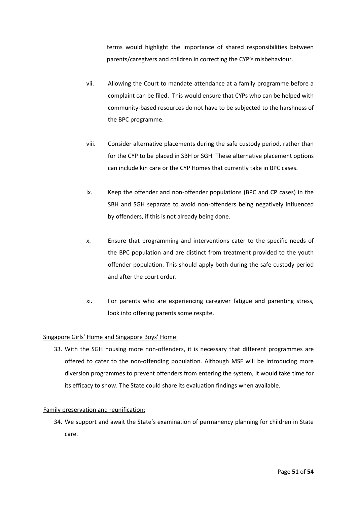terms would highlight the importance of shared responsibilities between parents/caregivers and children in correcting the CYP's misbehaviour.

- vii. Allowing the Court to mandate attendance at a family programme before a complaint can be filed. This would ensure that CYPs who can be helped with community-based resources do not have to be subjected to the harshness of the BPC programme.
- viii. Consider alternative placements during the safe custody period, rather than for the CYP to be placed in SBH or SGH. These alternative placement options can include kin care or the CYP Homes that currently take in BPC cases.
- ix. Keep the offender and non-offender populations (BPC and CP cases) in the SBH and SGH separate to avoid non-offenders being negatively influenced by offenders, if this is not already being done.
- x. Ensure that programming and interventions cater to the specific needs of the BPC population and are distinct from treatment provided to the youth offender population. This should apply both during the safe custody period and after the court order.
- xi. For parents who are experiencing caregiver fatigue and parenting stress, look into offering parents some respite.

## Singapore Girls' Home and Singapore Boys' Home:

33. With the SGH housing more non-offenders, it is necessary that different programmes are offered to cater to the non-offending population. Although MSF will be introducing more diversion programmes to prevent offenders from entering the system, it would take time for its efficacy to show. The State could share its evaluation findings when available.

#### Family preservation and reunification:

34. We support and await the State's examination of permanency planning for children in State care.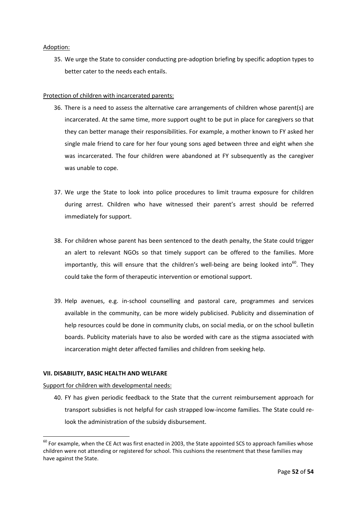## Adoption:

35. We urge the State to consider conducting pre-adoption briefing by specific adoption types to better cater to the needs each entails.

## Protection of children with incarcerated parents:

- 36. There is a need to assess the alternative care arrangements of children whose parent(s) are incarcerated. At the same time, more support ought to be put in place for caregivers so that they can better manage their responsibilities. For example, a mother known to FY asked her single male friend to care for her four young sons aged between three and eight when she was incarcerated. The four children were abandoned at FY subsequently as the caregiver was unable to cope.
- 37. We urge the State to look into police procedures to limit trauma exposure for children during arrest. Children who have witnessed their parent's arrest should be referred immediately for support.
- 38. For children whose parent has been sentenced to the death penalty, the State could trigger an alert to relevant NGOs so that timely support can be offered to the families. More importantly, this will ensure that the children's well-being are being looked into<sup>60</sup>. They could take the form of therapeutic intervention or emotional support.
- 39. Help avenues, e.g. in-school counselling and pastoral care, programmes and services available in the community, can be more widely publicised. Publicity and dissemination of help resources could be done in community clubs, on social media, or on the school bulletin boards. Publicity materials have to also be worded with care as the stigma associated with incarceration might deter affected families and children from seeking help.

#### **VII. DISABILITY, BASIC HEALTH AND WELFARE**

Support for children with developmental needs:

**.** 

40. FY has given periodic feedback to the State that the current reimbursement approach for transport subsidies is not helpful for cash strapped low-income families. The State could relook the administration of the subsidy disbursement.

 $60$  For example, when the CE Act was first enacted in 2003, the State appointed SCS to approach families whose children were not attending or registered for school. This cushions the resentment that these families may have against the State.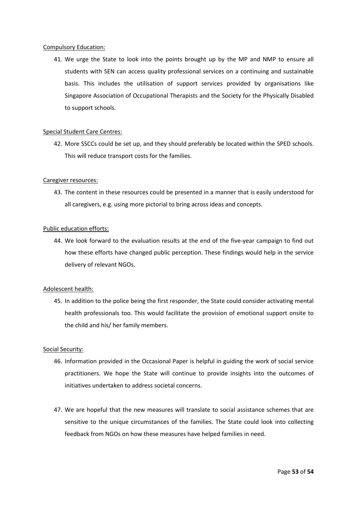#### Compulsory Education:

41. We urge the State to look into the points brought up by the MP and NMP to ensure all students with SEN can access quality professional services on a continuing and sustainable basis. This includes the utilisation of support services provided by organisations like Singapore Association of Occupational Therapists and the Society for the Physically Disabled to support schools.

## Special Student Care Centres:

42. More SSCCs could be set up, and they should preferably be located within the SPED schools. This will reduce transport costs for the families.

## Caregiver resources:

43. The content in these resources could be presented in a manner that is easily understood for all caregivers, e.g. using more pictorial to bring across ideas and concepts.

#### Public education efforts:

44. We look forward to the evaluation results at the end of the five-year campaign to find out how these efforts have changed public perception. These findings would help in the service delivery of relevant NGOs.

## Adolescent health:

45. In addition to the police being the first responder, the State could consider activating mental health professionals too. This would facilitate the provision of emotional support onsite to the child and his/ her family members.

#### Social Security:

- 46. Information provided in the Occasional Paper is helpful in guiding the work of social service practitioners. We hope the State will continue to provide insights into the outcomes of initiatives undertaken to address societal concerns.
- 47. We are hopeful that the new measures will translate to social assistance schemes that are sensitive to the unique circumstances of the families. The State could look into collecting feedback from NGOs on how these measures have helped families in need.